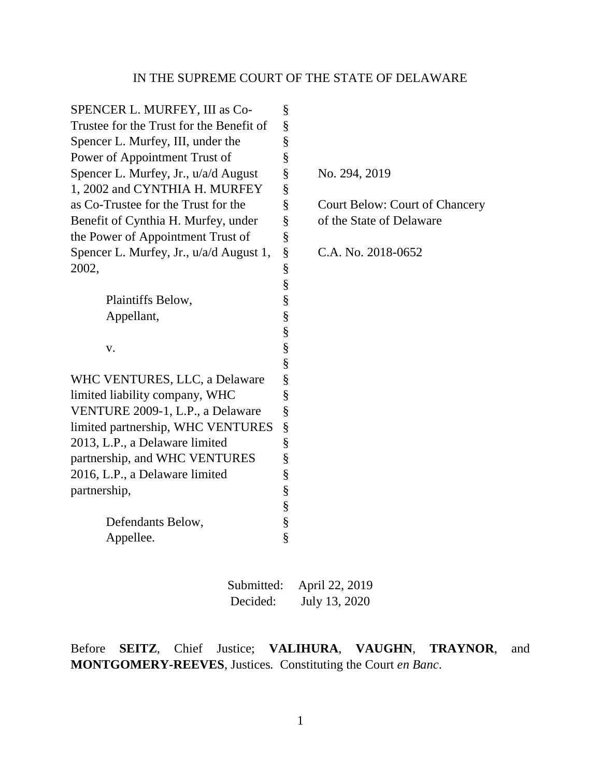| SPENCER L. MURFEY, III as Co-            | §    |                                       |
|------------------------------------------|------|---------------------------------------|
| Trustee for the Trust for the Benefit of | §    |                                       |
| Spencer L. Murfey, III, under the        | §    |                                       |
| Power of Appointment Trust of            | §    |                                       |
| Spencer L. Murfey, Jr., u/a/d August     | §    | No. 294, 2019                         |
| 1, 2002 and CYNTHIA H. MURFEY            | $\S$ |                                       |
| as Co-Trustee for the Trust for the      | §    | <b>Court Below: Court of Chancery</b> |
| Benefit of Cynthia H. Murfey, under      | §    | of the State of Delaware              |
| the Power of Appointment Trust of        | §    |                                       |
| Spencer L. Murfey, Jr., u/a/d August 1,  | $\S$ | C.A. No. 2018-0652                    |
| 2002,                                    | §    |                                       |
|                                          | §    |                                       |
| Plaintiffs Below,                        | §    |                                       |
| Appellant,                               | §    |                                       |
|                                          | §    |                                       |
| V.                                       | §    |                                       |
|                                          | §    |                                       |
| WHC VENTURES, LLC, a Delaware            | §    |                                       |
| limited liability company, WHC           | §    |                                       |
| VENTURE 2009-1, L.P., a Delaware         | §    |                                       |
| limited partnership, WHC VENTURES        | §    |                                       |
| 2013, L.P., a Delaware limited           | §    |                                       |
| partnership, and WHC VENTURES            | §    |                                       |
| 2016, L.P., a Delaware limited           | §    |                                       |
| partnership,                             | §    |                                       |
|                                          | §    |                                       |
| Defendants Below,                        | §    |                                       |
| Appellee.                                | §    |                                       |
|                                          |      |                                       |

| Submitted: | April 22, 2019 |
|------------|----------------|
| Decided:   | July 13, 2020  |

Before **SEITZ**, Chief Justice; **VALIHURA**, **VAUGHN**, **TRAYNOR**, and **MONTGOMERY-REEVES**, Justices*.* Constituting the Court *en Banc*.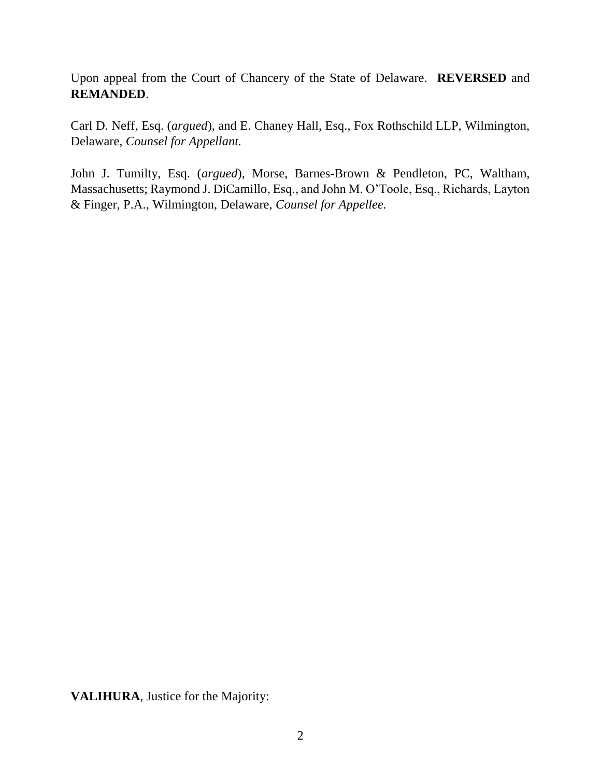Upon appeal from the Court of Chancery of the State of Delaware. **REVERSED** and **REMANDED**.

Carl D. Neff, Esq. (*argued*), and E. Chaney Hall, Esq., Fox Rothschild LLP, Wilmington, Delaware, *Counsel for Appellant.* 

John J. Tumilty, Esq. (*argued*), Morse, Barnes-Brown & Pendleton, PC, Waltham, Massachusetts; Raymond J. DiCamillo, Esq., and John M. O'Toole, Esq., Richards, Layton & Finger, P.A., Wilmington, Delaware, *Counsel for Appellee.*

**VALIHURA**, Justice for the Majority: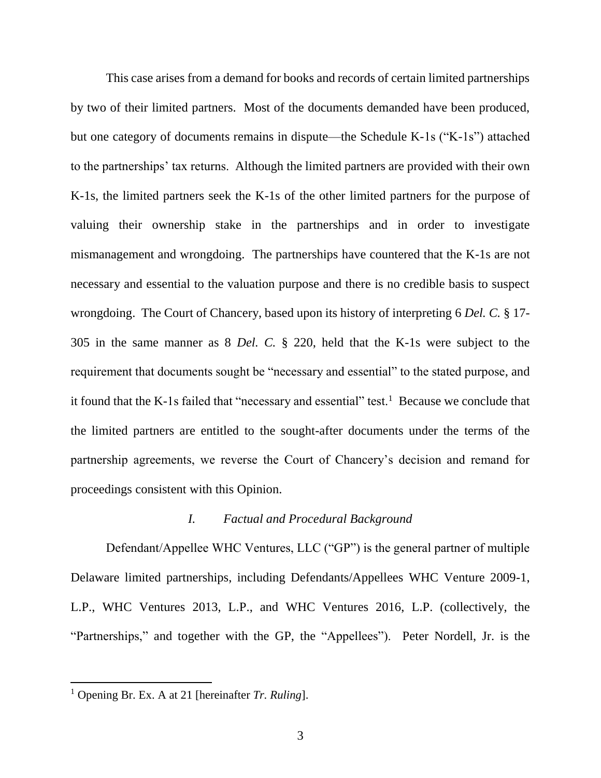This case arises from a demand for books and records of certain limited partnerships by two of their limited partners. Most of the documents demanded have been produced, but one category of documents remains in dispute—the Schedule K-1s ("K-1s") attached to the partnerships' tax returns. Although the limited partners are provided with their own K-1s, the limited partners seek the K-1s of the other limited partners for the purpose of valuing their ownership stake in the partnerships and in order to investigate mismanagement and wrongdoing. The partnerships have countered that the K-1s are not necessary and essential to the valuation purpose and there is no credible basis to suspect wrongdoing. The Court of Chancery, based upon its history of interpreting 6 *Del. C.* § 17- 305 in the same manner as 8 *Del. C.* § 220, held that the K-1s were subject to the requirement that documents sought be "necessary and essential" to the stated purpose, and it found that the K-1s failed that "necessary and essential" test.<sup>1</sup> Because we conclude that the limited partners are entitled to the sought-after documents under the terms of the partnership agreements, we reverse the Court of Chancery's decision and remand for proceedings consistent with this Opinion.

## *I. Factual and Procedural Background*

Defendant/Appellee WHC Ventures, LLC ("GP") is the general partner of multiple Delaware limited partnerships, including Defendants/Appellees WHC Venture 2009-1, L.P., WHC Ventures 2013, L.P., and WHC Ventures 2016, L.P. (collectively, the "Partnerships," and together with the GP, the "Appellees"). Peter Nordell, Jr. is the

<sup>1</sup> Opening Br. Ex. A at 21 [hereinafter *Tr. Ruling*].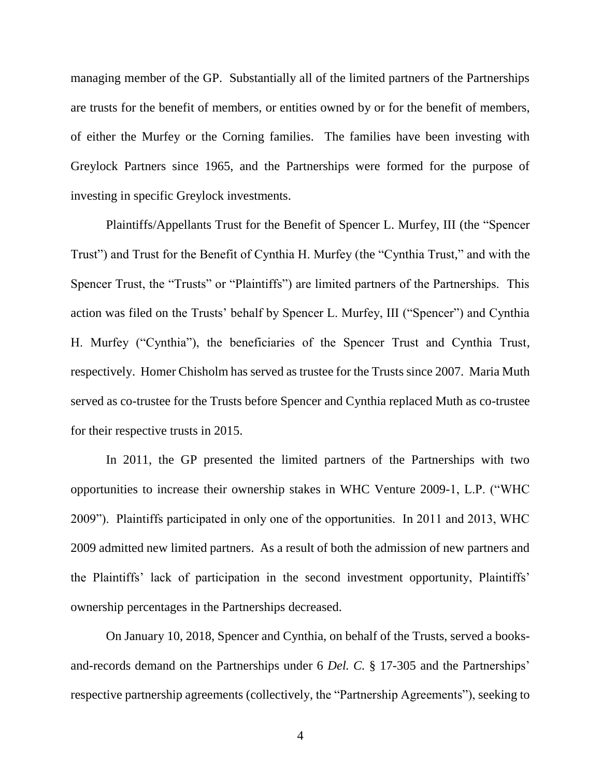managing member of the GP. Substantially all of the limited partners of the Partnerships are trusts for the benefit of members, or entities owned by or for the benefit of members, of either the Murfey or the Corning families. The families have been investing with Greylock Partners since 1965, and the Partnerships were formed for the purpose of investing in specific Greylock investments.

Plaintiffs/Appellants Trust for the Benefit of Spencer L. Murfey, III (the "Spencer Trust") and Trust for the Benefit of Cynthia H. Murfey (the "Cynthia Trust," and with the Spencer Trust, the "Trusts" or "Plaintiffs") are limited partners of the Partnerships. This action was filed on the Trusts' behalf by Spencer L. Murfey, III ("Spencer") and Cynthia H. Murfey ("Cynthia"), the beneficiaries of the Spencer Trust and Cynthia Trust, respectively. Homer Chisholm has served as trustee for the Trusts since 2007. Maria Muth served as co-trustee for the Trusts before Spencer and Cynthia replaced Muth as co-trustee for their respective trusts in 2015.

In 2011, the GP presented the limited partners of the Partnerships with two opportunities to increase their ownership stakes in WHC Venture 2009-1, L.P. ("WHC 2009"). Plaintiffs participated in only one of the opportunities. In 2011 and 2013, WHC 2009 admitted new limited partners. As a result of both the admission of new partners and the Plaintiffs' lack of participation in the second investment opportunity, Plaintiffs' ownership percentages in the Partnerships decreased.

On January 10, 2018, Spencer and Cynthia, on behalf of the Trusts, served a booksand-records demand on the Partnerships under 6 *Del. C.* § 17-305 and the Partnerships' respective partnership agreements (collectively, the "Partnership Agreements"), seeking to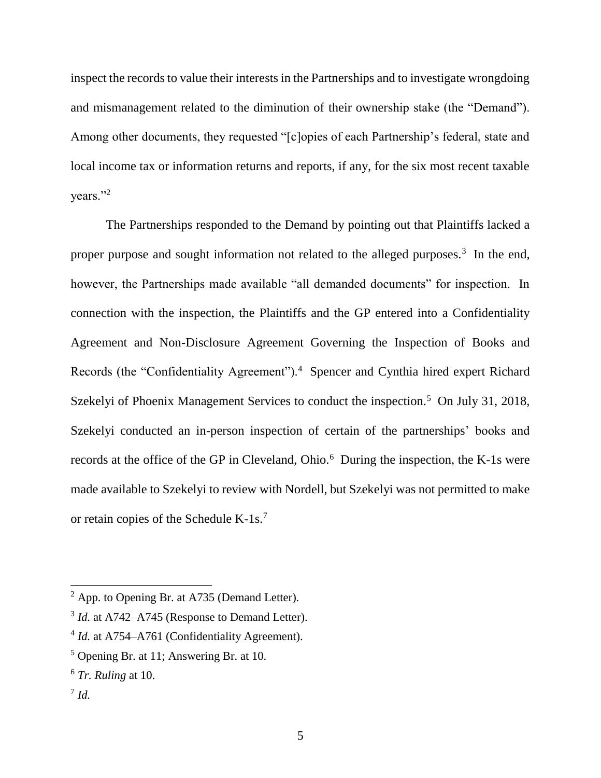inspect the records to value their interests in the Partnerships and to investigate wrongdoing and mismanagement related to the diminution of their ownership stake (the "Demand"). Among other documents, they requested "[c]opies of each Partnership's federal, state and local income tax or information returns and reports, if any, for the six most recent taxable vears."<sup>2</sup>

The Partnerships responded to the Demand by pointing out that Plaintiffs lacked a proper purpose and sought information not related to the alleged purposes.<sup>3</sup> In the end, however, the Partnerships made available "all demanded documents" for inspection. In connection with the inspection, the Plaintiffs and the GP entered into a Confidentiality Agreement and Non-Disclosure Agreement Governing the Inspection of Books and Records (the "Confidentiality Agreement").<sup>4</sup> Spencer and Cynthia hired expert Richard Szekelyi of Phoenix Management Services to conduct the inspection.<sup>5</sup> On July 31, 2018, Szekelyi conducted an in-person inspection of certain of the partnerships' books and records at the office of the GP in Cleveland, Ohio.<sup>6</sup> During the inspection, the K-1s were made available to Szekelyi to review with Nordell, but Szekelyi was not permitted to make or retain copies of the Schedule K-1s.<sup>7</sup>

 $<sup>2</sup>$  App. to Opening Br. at A735 (Demand Letter).</sup>

<sup>&</sup>lt;sup>3</sup> *Id.* at A742–A745 (Response to Demand Letter).

<sup>&</sup>lt;sup>4</sup> *Id.* at A754–A761 (Confidentiality Agreement).

<sup>5</sup> Opening Br. at 11; Answering Br. at 10.

<sup>6</sup> *Tr. Ruling* at 10.

<sup>7</sup> *Id.*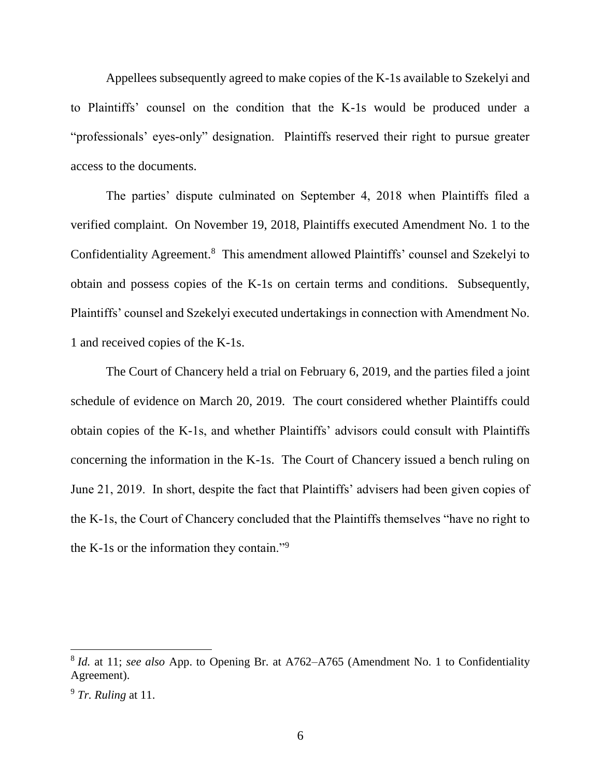Appellees subsequently agreed to make copies of the K-1s available to Szekelyi and to Plaintiffs' counsel on the condition that the K-1s would be produced under a "professionals' eyes-only" designation. Plaintiffs reserved their right to pursue greater access to the documents.

The parties' dispute culminated on September 4, 2018 when Plaintiffs filed a verified complaint. On November 19, 2018, Plaintiffs executed Amendment No. 1 to the Confidentiality Agreement.<sup>8</sup> This amendment allowed Plaintiffs' counsel and Szekelyi to obtain and possess copies of the K-1s on certain terms and conditions. Subsequently, Plaintiffs' counsel and Szekelyi executed undertakings in connection with Amendment No. 1 and received copies of the K-1s.

The Court of Chancery held a trial on February 6, 2019, and the parties filed a joint schedule of evidence on March 20, 2019. The court considered whether Plaintiffs could obtain copies of the K-1s, and whether Plaintiffs' advisors could consult with Plaintiffs concerning the information in the K-1s. The Court of Chancery issued a bench ruling on June 21, 2019. In short, despite the fact that Plaintiffs' advisers had been given copies of the K-1s, the Court of Chancery concluded that the Plaintiffs themselves "have no right to the K-1s or the information they contain."<sup>9</sup>

<sup>&</sup>lt;sup>8</sup> *Id.* at 11; *see also* App. to Opening Br. at A762–A765 (Amendment No. 1 to Confidentiality Agreement).

<sup>9</sup> *Tr. Ruling* at 11.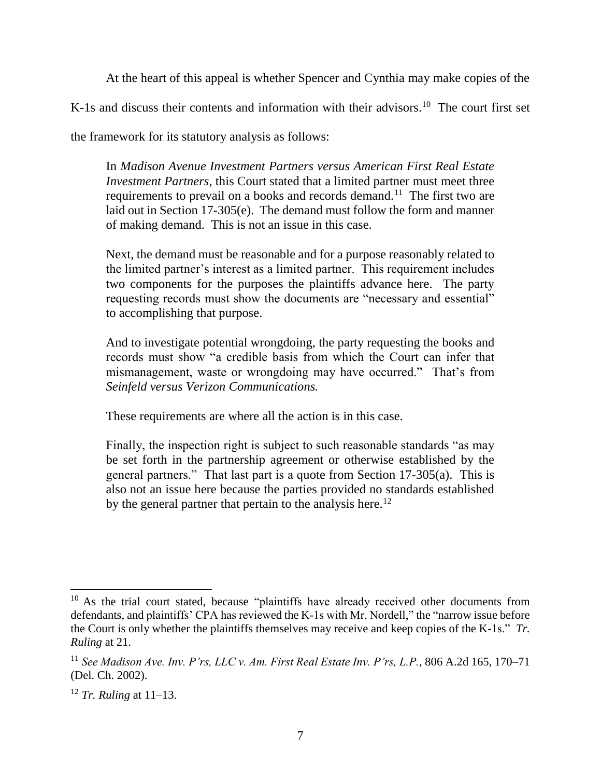At the heart of this appeal is whether Spencer and Cynthia may make copies of the

K-1s and discuss their contents and information with their advisors.<sup>10</sup> The court first set

the framework for its statutory analysis as follows:

In *Madison Avenue Investment Partners versus American First Real Estate Investment Partners*, this Court stated that a limited partner must meet three requirements to prevail on a books and records demand.<sup>11</sup> The first two are laid out in Section 17-305(e). The demand must follow the form and manner of making demand. This is not an issue in this case.

Next, the demand must be reasonable and for a purpose reasonably related to the limited partner's interest as a limited partner. This requirement includes two components for the purposes the plaintiffs advance here. The party requesting records must show the documents are "necessary and essential" to accomplishing that purpose.

And to investigate potential wrongdoing, the party requesting the books and records must show "a credible basis from which the Court can infer that mismanagement, waste or wrongdoing may have occurred." That's from *Seinfeld versus Verizon Communications.*

These requirements are where all the action is in this case.

Finally, the inspection right is subject to such reasonable standards "as may be set forth in the partnership agreement or otherwise established by the general partners." That last part is a quote from Section 17-305(a). This is also not an issue here because the parties provided no standards established by the general partner that pertain to the analysis here.<sup>12</sup>

<sup>&</sup>lt;sup>10</sup> As the trial court stated, because "plaintiffs have already received other documents from defendants, and plaintiffs' CPA has reviewed the K-1s with Mr. Nordell," the "narrow issue before the Court is only whether the plaintiffs themselves may receive and keep copies of the K-1s." *Tr. Ruling* at 21.

<sup>11</sup> *See Madison Ave. Inv. P'rs, LLC v. Am. First Real Estate Inv. P'rs, L.P.*, 806 A.2d 165, 170–71 (Del. Ch. 2002).

<sup>12</sup> *Tr. Ruling* at 11–13.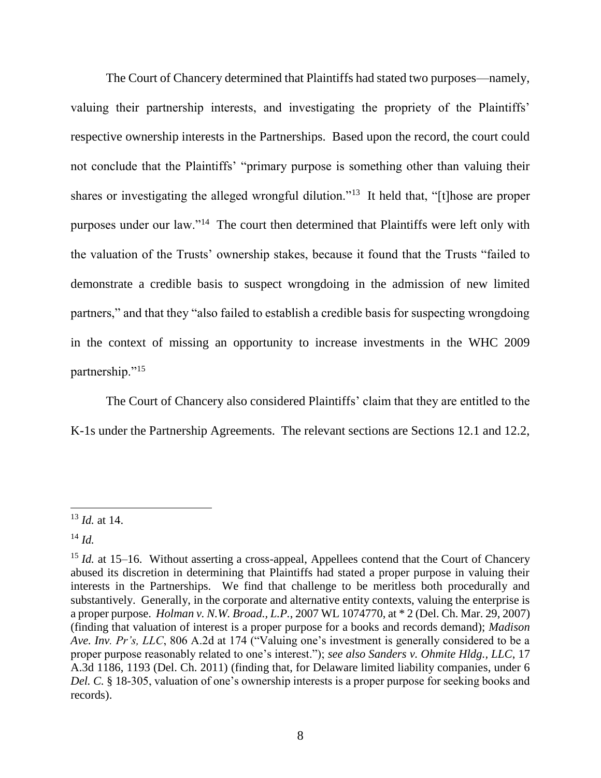The Court of Chancery determined that Plaintiffs had stated two purposes—namely, valuing their partnership interests, and investigating the propriety of the Plaintiffs' respective ownership interests in the Partnerships. Based upon the record, the court could not conclude that the Plaintiffs' "primary purpose is something other than valuing their shares or investigating the alleged wrongful dilution."<sup>13</sup> It held that, "[t]hose are proper purposes under our law."<sup>14</sup> The court then determined that Plaintiffs were left only with the valuation of the Trusts' ownership stakes, because it found that the Trusts "failed to demonstrate a credible basis to suspect wrongdoing in the admission of new limited partners," and that they "also failed to establish a credible basis for suspecting wrongdoing in the context of missing an opportunity to increase investments in the WHC 2009 partnership."<sup>15</sup>

The Court of Chancery also considered Plaintiffs' claim that they are entitled to the K-1s under the Partnership Agreements. The relevant sections are Sections 12.1 and 12.2,

 $\overline{a}$ <sup>13</sup> *Id.* at 14.

<sup>14</sup> *Id.*

<sup>&</sup>lt;sup>15</sup> *Id.* at 15–16. Without asserting a cross-appeal, Appellees contend that the Court of Chancery abused its discretion in determining that Plaintiffs had stated a proper purpose in valuing their interests in the Partnerships. We find that challenge to be meritless both procedurally and substantively. Generally, in the corporate and alternative entity contexts, valuing the enterprise is a proper purpose. *Holman v. N.W. Broad., L.P.*, 2007 WL 1074770, at \* 2 (Del. Ch. Mar. 29, 2007) (finding that valuation of interest is a proper purpose for a books and records demand); *Madison Ave. Inv. Pr's, LLC*, 806 A.2d at 174 ("Valuing one's investment is generally considered to be a proper purpose reasonably related to one's interest."); *see also Sanders v. Ohmite Hldg., LLC*, 17 A.3d 1186, 1193 (Del. Ch. 2011) (finding that, for Delaware limited liability companies, under 6 *Del. C.* § 18-305, valuation of one's ownership interests is a proper purpose for seeking books and records).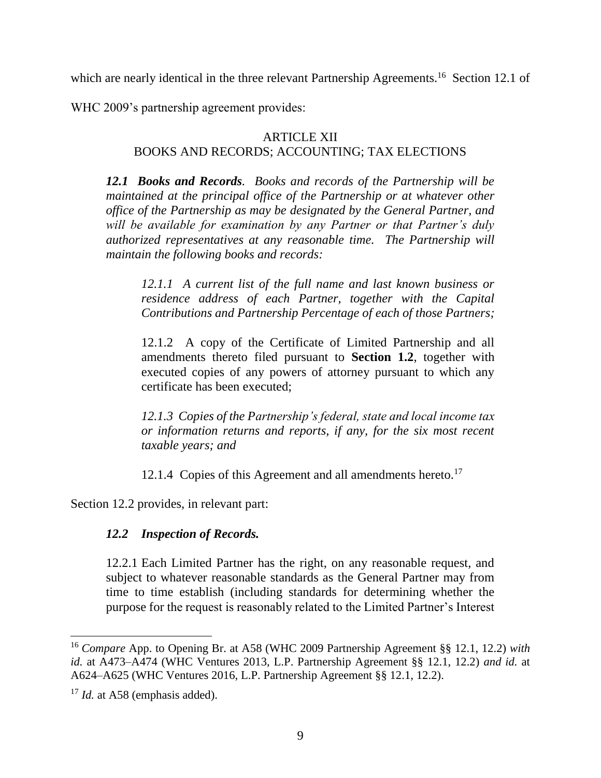which are nearly identical in the three relevant Partnership Agreements.<sup>16</sup> Section 12.1 of

WHC 2009's partnership agreement provides:

#### ARTICLE XII BOOKS AND RECORDS; ACCOUNTING; TAX ELECTIONS

*12.1 Books and Records. Books and records of the Partnership will be maintained at the principal office of the Partnership or at whatever other office of the Partnership as may be designated by the General Partner, and will be available for examination by any Partner or that Partner's duly authorized representatives at any reasonable time. The Partnership will maintain the following books and records:*

*12.1.1 A current list of the full name and last known business or residence address of each Partner, together with the Capital Contributions and Partnership Percentage of each of those Partners;*

12.1.2 A copy of the Certificate of Limited Partnership and all amendments thereto filed pursuant to **Section 1.2**, together with executed copies of any powers of attorney pursuant to which any certificate has been executed;

*12.1.3 Copies of the Partnership's federal, state and local income tax or information returns and reports, if any, for the six most recent taxable years; and* 

12.1.4 Copies of this Agreement and all amendments hereto.<sup>17</sup>

Section 12.2 provides, in relevant part:

# *12.2 Inspection of Records.*

12.2.1 Each Limited Partner has the right, on any reasonable request, and subject to whatever reasonable standards as the General Partner may from time to time establish (including standards for determining whether the purpose for the request is reasonably related to the Limited Partner's Interest

l

<sup>16</sup> *Compare* App. to Opening Br. at A58 (WHC 2009 Partnership Agreement §§ 12.1, 12.2) *with id.* at A473–A474 (WHC Ventures 2013, L.P. Partnership Agreement §§ 12.1, 12.2) *and id.* at A624–A625 (WHC Ventures 2016, L.P. Partnership Agreement §§ 12.1, 12.2).

<sup>&</sup>lt;sup>17</sup> *Id.* at A58 (emphasis added).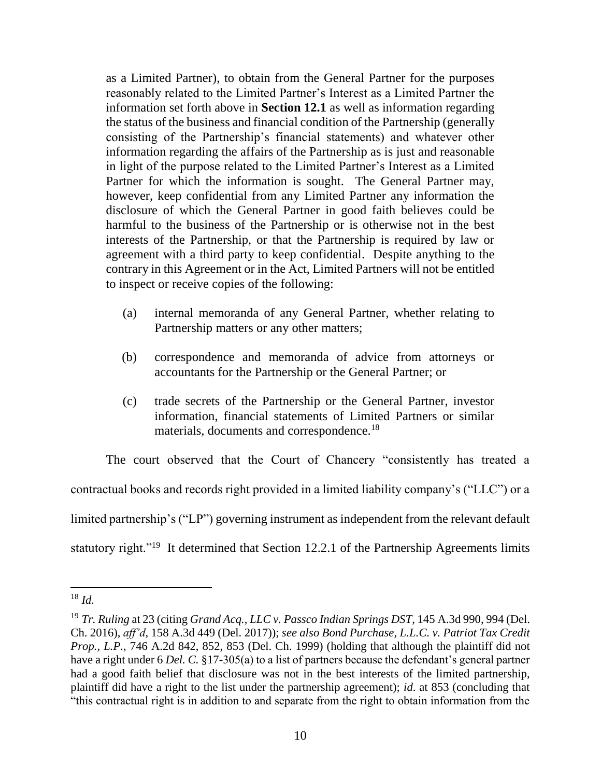as a Limited Partner), to obtain from the General Partner for the purposes reasonably related to the Limited Partner's Interest as a Limited Partner the information set forth above in **Section 12.1** as well as information regarding the status of the business and financial condition of the Partnership (generally consisting of the Partnership's financial statements) and whatever other information regarding the affairs of the Partnership as is just and reasonable in light of the purpose related to the Limited Partner's Interest as a Limited Partner for which the information is sought. The General Partner may, however, keep confidential from any Limited Partner any information the disclosure of which the General Partner in good faith believes could be harmful to the business of the Partnership or is otherwise not in the best interests of the Partnership, or that the Partnership is required by law or agreement with a third party to keep confidential. Despite anything to the contrary in this Agreement or in the Act, Limited Partners will not be entitled to inspect or receive copies of the following:

- (a) internal memoranda of any General Partner, whether relating to Partnership matters or any other matters;
- (b) correspondence and memoranda of advice from attorneys or accountants for the Partnership or the General Partner; or
- (c) trade secrets of the Partnership or the General Partner, investor information, financial statements of Limited Partners or similar materials, documents and correspondence.<sup>18</sup>

The court observed that the Court of Chancery "consistently has treated a contractual books and records right provided in a limited liability company's ("LLC") or a limited partnership's ("LP") governing instrument as independent from the relevant default statutory right."<sup>19</sup> It determined that Section 12.2.1 of the Partnership Agreements limits

 $\overline{a}$ <sup>18</sup> *Id.*

<sup>19</sup> *Tr. Ruling* at 23 (citing *Grand Acq., LLC v. Passco Indian Springs DST*, 145 A.3d 990, 994 (Del. Ch. 2016), *aff'd*, 158 A.3d 449 (Del. 2017)); *see also Bond Purchase, L.L.C. v. Patriot Tax Credit Prop., L.P.*, 746 A.2d 842, 852, 853 (Del. Ch. 1999) (holding that although the plaintiff did not have a right under 6 *Del. C.* §17-305(a) to a list of partners because the defendant's general partner had a good faith belief that disclosure was not in the best interests of the limited partnership, plaintiff did have a right to the list under the partnership agreement); *id*. at 853 (concluding that "this contractual right is in addition to and separate from the right to obtain information from the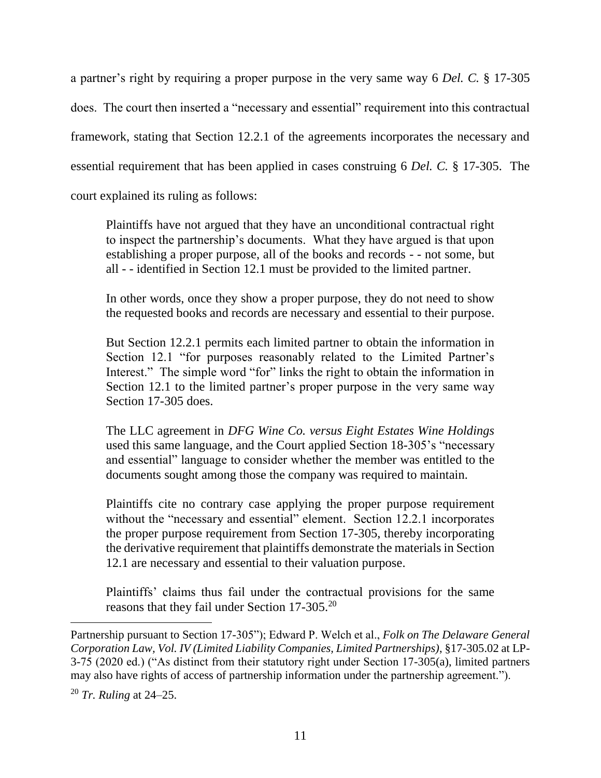a partner's right by requiring a proper purpose in the very same way 6 *Del. C.* § 17-305 does. The court then inserted a "necessary and essential" requirement into this contractual framework, stating that Section 12.2.1 of the agreements incorporates the necessary and essential requirement that has been applied in cases construing 6 *Del. C.* § 17-305. The court explained its ruling as follows:

Plaintiffs have not argued that they have an unconditional contractual right to inspect the partnership's documents. What they have argued is that upon establishing a proper purpose, all of the books and records - - not some, but all - - identified in Section 12.1 must be provided to the limited partner.

In other words, once they show a proper purpose, they do not need to show the requested books and records are necessary and essential to their purpose.

But Section 12.2.1 permits each limited partner to obtain the information in Section 12.1 "for purposes reasonably related to the Limited Partner's Interest." The simple word "for" links the right to obtain the information in Section 12.1 to the limited partner's proper purpose in the very same way Section 17-305 does.

The LLC agreement in *DFG Wine Co. versus Eight Estates Wine Holdings*  used this same language, and the Court applied Section 18-305's "necessary and essential" language to consider whether the member was entitled to the documents sought among those the company was required to maintain.

Plaintiffs cite no contrary case applying the proper purpose requirement without the "necessary and essential" element. Section 12.2.1 incorporates the proper purpose requirement from Section 17-305, thereby incorporating the derivative requirement that plaintiffs demonstrate the materials in Section 12.1 are necessary and essential to their valuation purpose.

Plaintiffs' claims thus fail under the contractual provisions for the same reasons that they fail under Section 17-305.<sup>20</sup>

Partnership pursuant to Section 17-305"); Edward P. Welch et al., *Folk on The Delaware General Corporation Law, Vol. IV (Limited Liability Companies, Limited Partnerships)*, §17-305.02 at LP-3-75 (2020 ed.) ("As distinct from their statutory right under Section 17-305(a), limited partners may also have rights of access of partnership information under the partnership agreement.").

<sup>20</sup> *Tr. Ruling* at 24–25.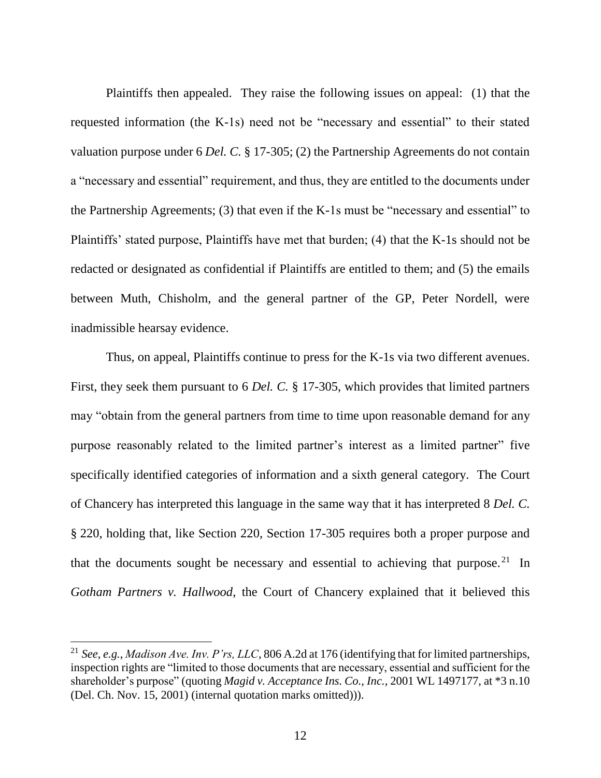Plaintiffs then appealed. They raise the following issues on appeal: (1) that the requested information (the K-1s) need not be "necessary and essential" to their stated valuation purpose under 6 *Del. C.* § 17-305; (2) the Partnership Agreements do not contain a "necessary and essential" requirement, and thus, they are entitled to the documents under the Partnership Agreements; (3) that even if the K-1s must be "necessary and essential" to Plaintiffs' stated purpose, Plaintiffs have met that burden; (4) that the K-1s should not be redacted or designated as confidential if Plaintiffs are entitled to them; and (5) the emails between Muth, Chisholm, and the general partner of the GP, Peter Nordell, were inadmissible hearsay evidence.

Thus, on appeal, Plaintiffs continue to press for the K-1s via two different avenues. First, they seek them pursuant to 6 *Del. C.* § 17-305, which provides that limited partners may "obtain from the general partners from time to time upon reasonable demand for any purpose reasonably related to the limited partner's interest as a limited partner" five specifically identified categories of information and a sixth general category. The Court of Chancery has interpreted this language in the same way that it has interpreted 8 *Del. C.*  § 220, holding that, like Section 220, Section 17-305 requires both a proper purpose and that the documents sought be necessary and essential to achieving that purpose.<sup>21</sup> In *Gotham Partners v. Hallwood*, the Court of Chancery explained that it believed this

l

<sup>21</sup> *See*, *e.g.*, *Madison Ave. Inv. P'rs, LLC*, 806 A.2d at 176 (identifying that for limited partnerships, inspection rights are "limited to those documents that are necessary, essential and sufficient for the shareholder's purpose" (quoting *Magid v. Acceptance Ins. Co., Inc.*, 2001 WL 1497177, at \*3 n.10 (Del. Ch. Nov. 15, 2001) (internal quotation marks omitted))).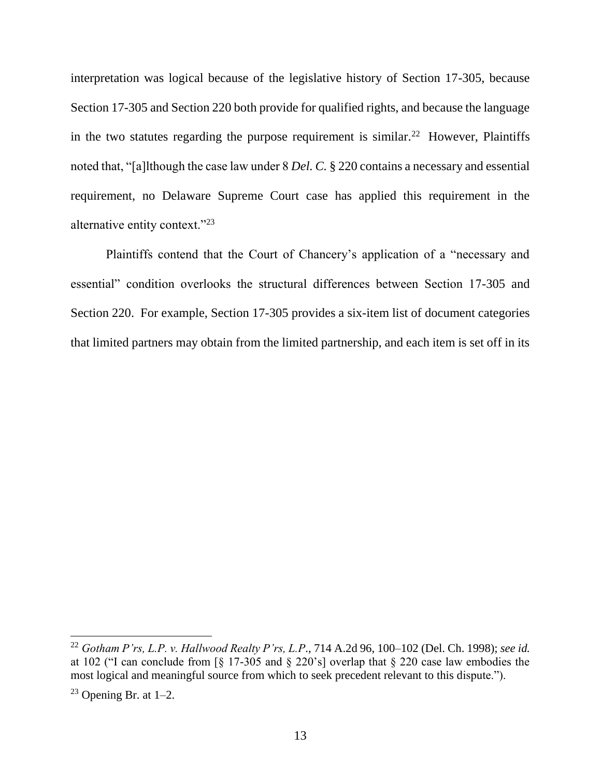interpretation was logical because of the legislative history of Section 17-305, because Section 17-305 and Section 220 both provide for qualified rights, and because the language in the two statutes regarding the purpose requirement is similar.<sup>22</sup> However, Plaintiffs noted that, "[a]lthough the case law under 8 *Del. C.* § 220 contains a necessary and essential requirement, no Delaware Supreme Court case has applied this requirement in the alternative entity context."<sup>23</sup>

Plaintiffs contend that the Court of Chancery's application of a "necessary and essential" condition overlooks the structural differences between Section 17-305 and Section 220. For example, Section 17-305 provides a six-item list of document categories that limited partners may obtain from the limited partnership, and each item is set off in its

l

<sup>22</sup> *Gotham P'rs, L.P. v. Hallwood Realty P'rs, L.P*., 714 A.2d 96, 100–102 (Del. Ch. 1998); *see id.*  at 102 ("I can conclude from [§ 17-305 and § 220's] overlap that § 220 case law embodies the most logical and meaningful source from which to seek precedent relevant to this dispute.").

 $23$  Opening Br. at 1–2.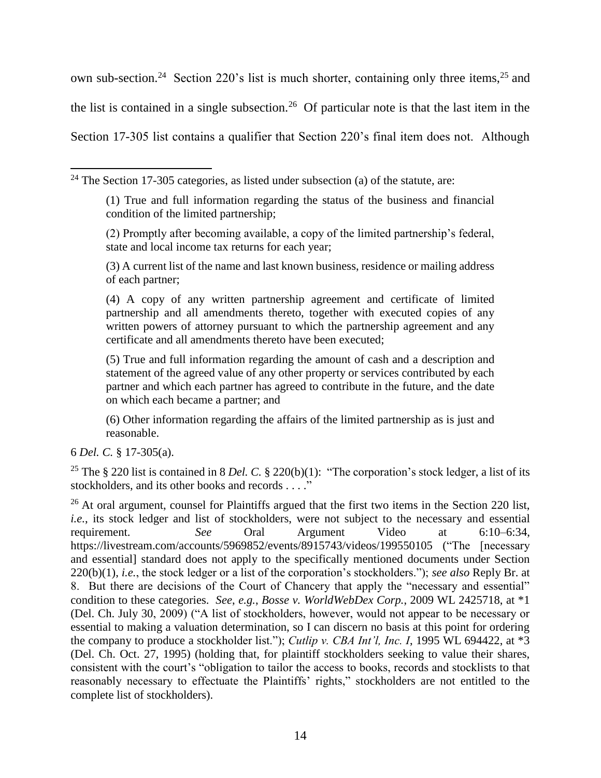own sub-section.<sup>24</sup> Section 220's list is much shorter, containing only three items,<sup>25</sup> and the list is contained in a single subsection.<sup>26</sup> Of particular note is that the last item in the Section 17-305 list contains a qualifier that Section 220's final item does not. Although

(3) A current list of the name and last known business, residence or mailing address of each partner;

(4) A copy of any written partnership agreement and certificate of limited partnership and all amendments thereto, together with executed copies of any written powers of attorney pursuant to which the partnership agreement and any certificate and all amendments thereto have been executed;

(5) True and full information regarding the amount of cash and a description and statement of the agreed value of any other property or services contributed by each partner and which each partner has agreed to contribute in the future, and the date on which each became a partner; and

(6) Other information regarding the affairs of the limited partnership as is just and reasonable.

6 *Del. C.* § 17-305(a).

<sup>25</sup> The § 220 list is contained in 8 *Del. C.* § 220(b)(1): "The corporation's stock ledger, a list of its stockholders, and its other books and records . . . ."

<sup>26</sup> At oral argument, counsel for Plaintiffs argued that the first two items in the Section 220 list, *i.e.*, its stock ledger and list of stockholders, were not subject to the necessary and essential requirement. *See* Oral Argument Video at 6:10–6:34, https://livestream.com/accounts/5969852/events/8915743/videos/199550105 ("The [necessary and essential] standard does not apply to the specifically mentioned documents under Section 220(b)(1), *i.e.*, the stock ledger or a list of the corporation's stockholders."); *see also* Reply Br. at 8. But there are decisions of the Court of Chancery that apply the "necessary and essential" condition to these categories. *See*, *e.g.*, *Bosse v. WorldWebDex Corp.*, 2009 WL 2425718, at \*1 (Del. Ch. July 30, 2009) ("A list of stockholders, however, would not appear to be necessary or essential to making a valuation determination, so I can discern no basis at this point for ordering the company to produce a stockholder list."); *Cutlip v. CBA Int'l, Inc. I*, 1995 WL 694422, at \*3 (Del. Ch. Oct. 27, 1995) (holding that, for plaintiff stockholders seeking to value their shares, consistent with the court's "obligation to tailor the access to books, records and stocklists to that reasonably necessary to effectuate the Plaintiffs' rights," stockholders are not entitled to the complete list of stockholders).

l  $24$  The Section 17-305 categories, as listed under subsection (a) of the statute, are:

<sup>(1)</sup> True and full information regarding the status of the business and financial condition of the limited partnership;

<sup>(2)</sup> Promptly after becoming available, a copy of the limited partnership's federal, state and local income tax returns for each year;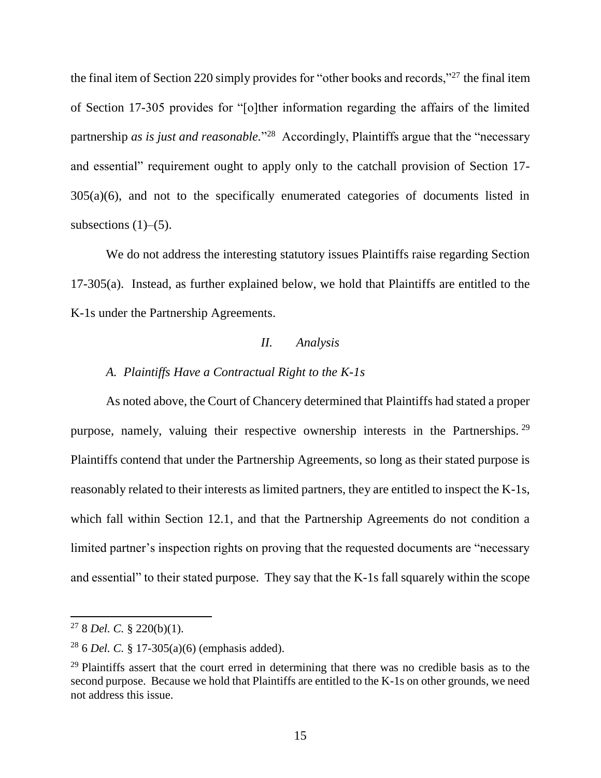the final item of Section 220 simply provides for "other books and records,"<sup>27</sup> the final item of Section 17-305 provides for "[o]ther information regarding the affairs of the limited partnership *as is just and reasonable*."<sup>28</sup> Accordingly, Plaintiffs argue that the "necessary and essential" requirement ought to apply only to the catchall provision of Section 17- 305(a)(6), and not to the specifically enumerated categories of documents listed in subsections  $(1)$ – $(5)$ .

We do not address the interesting statutory issues Plaintiffs raise regarding Section 17-305(a). Instead, as further explained below, we hold that Plaintiffs are entitled to the K-1s under the Partnership Agreements.

## *II. Analysis*

### *A. Plaintiffs Have a Contractual Right to the K-1s*

As noted above, the Court of Chancery determined that Plaintiffs had stated a proper purpose, namely, valuing their respective ownership interests in the Partnerships.<sup>29</sup> Plaintiffs contend that under the Partnership Agreements, so long as their stated purpose is reasonably related to their interests as limited partners, they are entitled to inspect the K-1s, which fall within Section 12.1, and that the Partnership Agreements do not condition a limited partner's inspection rights on proving that the requested documents are "necessary and essential" to their stated purpose. They say that the K-1s fall squarely within the scope

<sup>27</sup> 8 *Del. C.* § 220(b)(1).

<sup>28</sup> 6 *Del. C.* § 17-305(a)(6) (emphasis added).

<sup>&</sup>lt;sup>29</sup> Plaintiffs assert that the court erred in determining that there was no credible basis as to the second purpose. Because we hold that Plaintiffs are entitled to the K-1s on other grounds, we need not address this issue.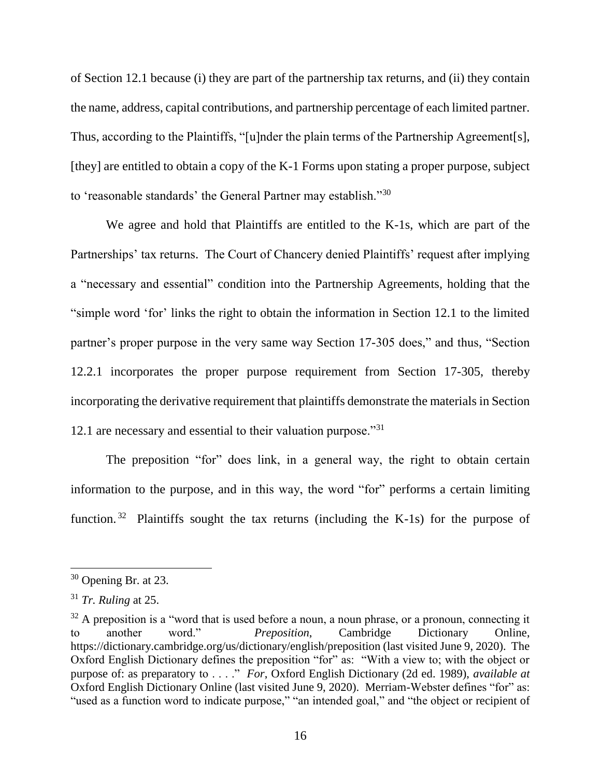of Section 12.1 because (i) they are part of the partnership tax returns, and (ii) they contain the name, address, capital contributions, and partnership percentage of each limited partner. Thus, according to the Plaintiffs, "[u]nder the plain terms of the Partnership Agreement[s], [they] are entitled to obtain a copy of the K-1 Forms upon stating a proper purpose, subject to 'reasonable standards' the General Partner may establish."<sup>30</sup>

We agree and hold that Plaintiffs are entitled to the K-1s, which are part of the Partnerships' tax returns. The Court of Chancery denied Plaintiffs' request after implying a "necessary and essential" condition into the Partnership Agreements, holding that the "simple word 'for' links the right to obtain the information in Section 12.1 to the limited partner's proper purpose in the very same way Section 17-305 does," and thus, "Section 12.2.1 incorporates the proper purpose requirement from Section 17-305, thereby incorporating the derivative requirement that plaintiffs demonstrate the materials in Section 12.1 are necessary and essential to their valuation purpose."31

The preposition "for" does link, in a general way, the right to obtain certain information to the purpose, and in this way, the word "for" performs a certain limiting function.<sup>32</sup> Plaintiffs sought the tax returns (including the K-1s) for the purpose of

l

<sup>30</sup> Opening Br. at 23.

<sup>31</sup> *Tr. Ruling* at 25.

 $32$  A preposition is a "word that is used before a noun, a noun phrase, or a pronoun, connecting it to another word." *Preposition*, Cambridge Dictionary Online, https://dictionary.cambridge.org/us/dictionary/english/preposition (last visited June 9, 2020). The Oxford English Dictionary defines the preposition "for" as: "With a view to; with the object or purpose of: as preparatory to . . . ." *For*, Oxford English Dictionary (2d ed. 1989), *available at*  Oxford English Dictionary Online (last visited June 9, 2020). Merriam-Webster defines "for" as: "used as a function word to indicate purpose," "an intended goal," and "the object or recipient of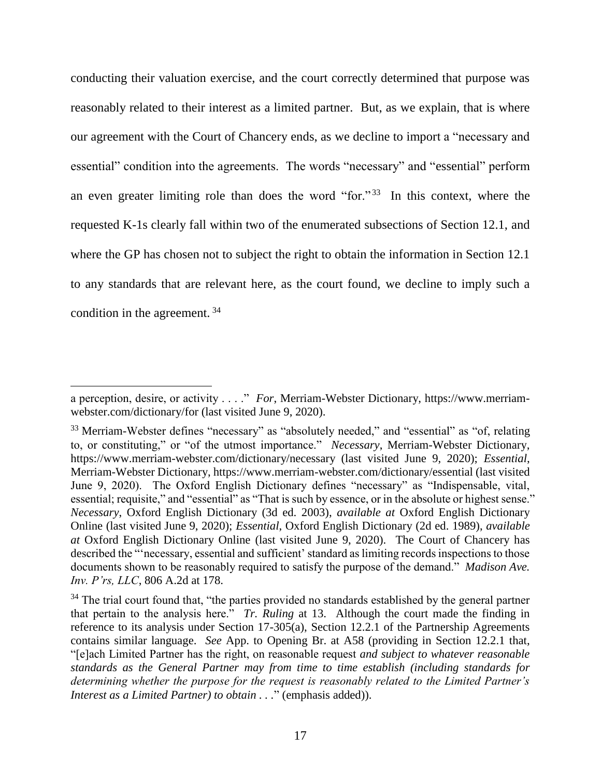conducting their valuation exercise, and the court correctly determined that purpose was reasonably related to their interest as a limited partner. But, as we explain, that is where our agreement with the Court of Chancery ends, as we decline to import a "necessary and essential" condition into the agreements. The words "necessary" and "essential" perform an even greater limiting role than does the word "for."<sup>33</sup> In this context, where the requested K-1s clearly fall within two of the enumerated subsections of Section 12.1, and where the GP has chosen not to subject the right to obtain the information in Section 12.1 to any standards that are relevant here, as the court found, we decline to imply such a condition in the agreement. <sup>34</sup>

a perception, desire, or activity . . . ." *For*, Merriam-Webster Dictionary, https://www.merriamwebster.com/dictionary/for (last visited June 9, 2020).

<sup>&</sup>lt;sup>33</sup> Merriam-Webster defines "necessary" as "absolutely needed," and "essential" as "of, relating to, or constituting," or "of the utmost importance." *Necessary*, Merriam-Webster Dictionary, https://www.merriam-webster.com/dictionary/necessary (last visited June 9, 2020); *Essential*, Merriam-Webster Dictionary, https://www.merriam-webster.com/dictionary/essential (last visited June 9, 2020). The Oxford English Dictionary defines "necessary" as "Indispensable, vital, essential; requisite," and "essential" as "That is such by essence, or in the absolute or highest sense." *Necessary*, Oxford English Dictionary (3d ed. 2003), *available at* Oxford English Dictionary Online (last visited June 9, 2020); *Essential*, Oxford English Dictionary (2d ed. 1989), *available at* Oxford English Dictionary Online (last visited June 9, 2020). The Court of Chancery has described the "'necessary, essential and sufficient' standard as limiting records inspections to those documents shown to be reasonably required to satisfy the purpose of the demand." *Madison Ave. Inv. P'rs, LLC*, 806 A.2d at 178.

 $34$  The trial court found that, "the parties provided no standards established by the general partner that pertain to the analysis here." *Tr. Ruling* at 13. Although the court made the finding in reference to its analysis under Section 17-305(a), Section 12.2.1 of the Partnership Agreements contains similar language. *See* App. to Opening Br. at A58 (providing in Section 12.2.1 that, "[e]ach Limited Partner has the right, on reasonable request *and subject to whatever reasonable standards as the General Partner may from time to time establish (including standards for determining whether the purpose for the request is reasonably related to the Limited Partner's Interest as a Limited Partner) to obtain . . .*" (emphasis added)).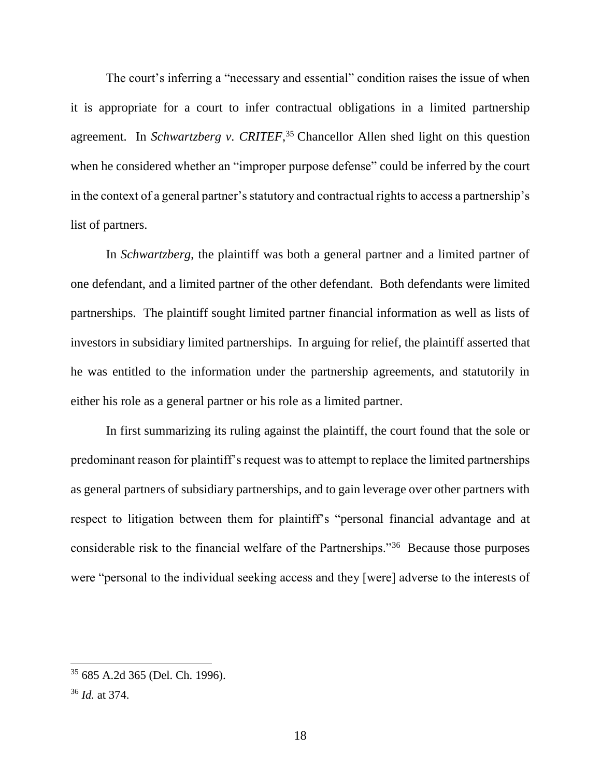The court's inferring a "necessary and essential" condition raises the issue of when it is appropriate for a court to infer contractual obligations in a limited partnership agreement. In *Schwartzberg v. CRITEF*, <sup>35</sup> Chancellor Allen shed light on this question when he considered whether an "improper purpose defense" could be inferred by the court in the context of a general partner's statutory and contractual rights to access a partnership's list of partners.

In *Schwartzberg*, the plaintiff was both a general partner and a limited partner of one defendant, and a limited partner of the other defendant. Both defendants were limited partnerships. The plaintiff sought limited partner financial information as well as lists of investors in subsidiary limited partnerships. In arguing for relief, the plaintiff asserted that he was entitled to the information under the partnership agreements, and statutorily in either his role as a general partner or his role as a limited partner.

In first summarizing its ruling against the plaintiff, the court found that the sole or predominant reason for plaintiff's request was to attempt to replace the limited partnerships as general partners of subsidiary partnerships, and to gain leverage over other partners with respect to litigation between them for plaintiff's "personal financial advantage and at considerable risk to the financial welfare of the Partnerships."<sup>36</sup> Because those purposes were "personal to the individual seeking access and they [were] adverse to the interests of

<sup>35</sup> 685 A.2d 365 (Del. Ch. 1996).

<sup>36</sup> *Id.* at 374.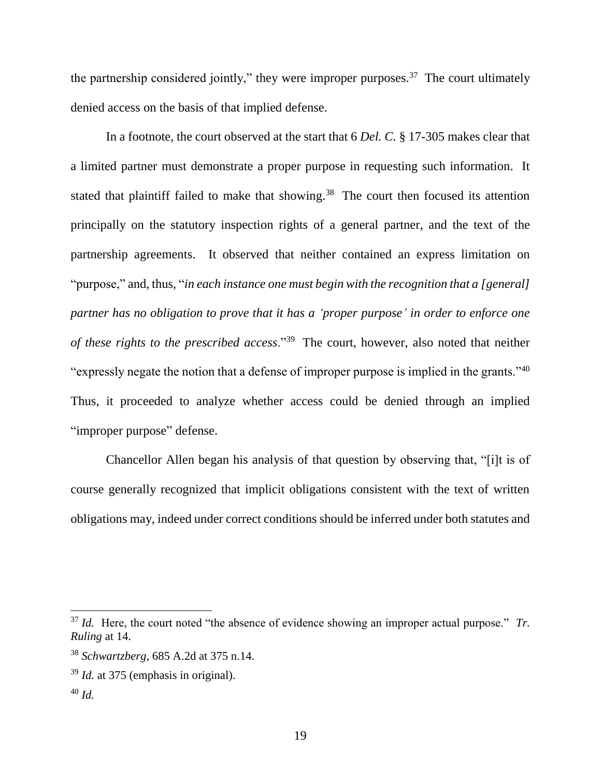the partnership considered jointly," they were improper purposes.<sup>37</sup> The court ultimately denied access on the basis of that implied defense.

In a footnote, the court observed at the start that 6 *Del. C.* § 17-305 makes clear that a limited partner must demonstrate a proper purpose in requesting such information. It stated that plaintiff failed to make that showing.<sup>38</sup> The court then focused its attention principally on the statutory inspection rights of a general partner, and the text of the partnership agreements. It observed that neither contained an express limitation on "purpose," and, thus, "*in each instance one must begin with the recognition that a [general] partner has no obligation to prove that it has a 'proper purpose' in order to enforce one of these rights to the prescribed access*."<sup>39</sup> The court, however, also noted that neither "expressly negate the notion that a defense of improper purpose is implied in the grants."<sup>40</sup> Thus, it proceeded to analyze whether access could be denied through an implied "improper purpose" defense.

Chancellor Allen began his analysis of that question by observing that, "[i]t is of course generally recognized that implicit obligations consistent with the text of written obligations may, indeed under correct conditions should be inferred under both statutes and

<sup>37</sup> *Id.* Here, the court noted "the absence of evidence showing an improper actual purpose." *Tr. Ruling* at 14.

<sup>38</sup> *Schwartzberg*, 685 A.2d at 375 n.14.

<sup>39</sup> *Id.* at 375 (emphasis in original).

<sup>40</sup> *Id.*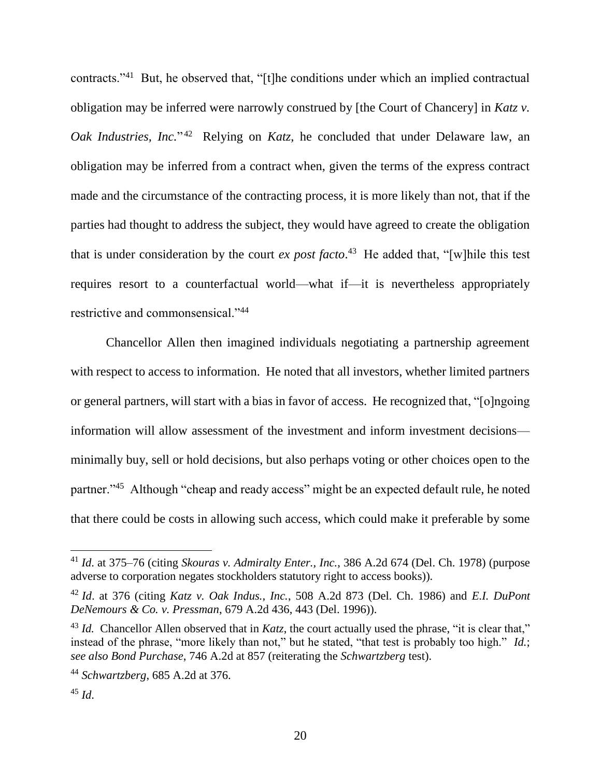contracts."<sup>41</sup> But, he observed that, "[t]he conditions under which an implied contractual obligation may be inferred were narrowly construed by [the Court of Chancery] in *Katz v.*  Oak Industries, Inc."<sup>42</sup> Relying on *Katz*, he concluded that under Delaware law, an obligation may be inferred from a contract when, given the terms of the express contract made and the circumstance of the contracting process, it is more likely than not, that if the parties had thought to address the subject, they would have agreed to create the obligation that is under consideration by the court *ex post facto*. 43 He added that, "[w]hile this test requires resort to a counterfactual world—what if—it is nevertheless appropriately restrictive and commonsensical."<sup>44</sup>

Chancellor Allen then imagined individuals negotiating a partnership agreement with respect to access to information. He noted that all investors, whether limited partners or general partners, will start with a bias in favor of access. He recognized that, "[o]ngoing information will allow assessment of the investment and inform investment decisions minimally buy, sell or hold decisions, but also perhaps voting or other choices open to the partner."<sup>45</sup> Although "cheap and ready access" might be an expected default rule, he noted that there could be costs in allowing such access, which could make it preferable by some

l

<sup>41</sup> *Id*. at 375–76 (citing *Skouras v. Admiralty Enter., Inc.*, 386 A.2d 674 (Del. Ch. 1978) (purpose adverse to corporation negates stockholders statutory right to access books)).

<sup>42</sup> *Id*. at 376 (citing *Katz v. Oak Indus., Inc.*, 508 A.2d 873 (Del. Ch. 1986) and *E.I. DuPont DeNemours & Co. v. Pressman*, 679 A.2d 436, 443 (Del. 1996)).

<sup>&</sup>lt;sup>43</sup> *Id.* Chancellor Allen observed that in *Katz*, the court actually used the phrase, "it is clear that," instead of the phrase, "more likely than not," but he stated, "that test is probably too high." *Id.*; *see also Bond Purchase*, 746 A.2d at 857 (reiterating the *Schwartzberg* test).

<sup>44</sup> *Schwartzberg*, 685 A.2d at 376.

<sup>45</sup> *Id*.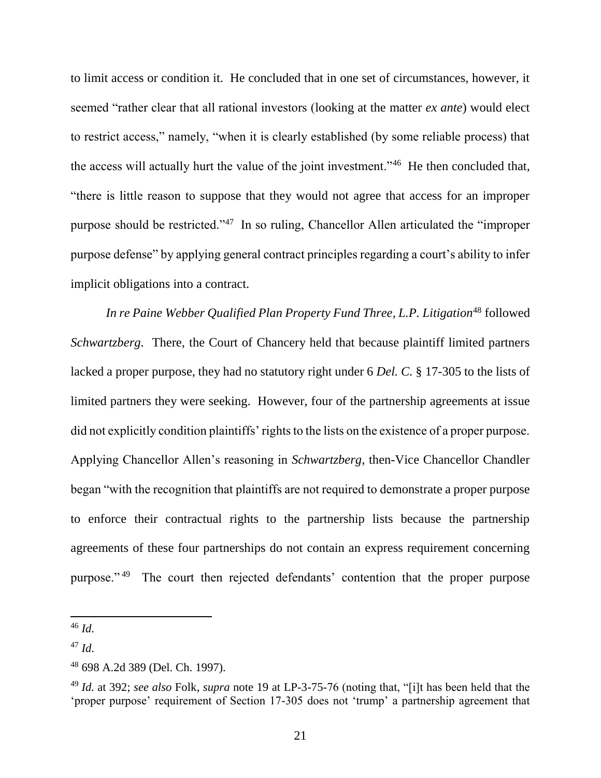to limit access or condition it. He concluded that in one set of circumstances, however, it seemed "rather clear that all rational investors (looking at the matter *ex ante*) would elect to restrict access," namely, "when it is clearly established (by some reliable process) that the access will actually hurt the value of the joint investment."<sup>46</sup> He then concluded that, "there is little reason to suppose that they would not agree that access for an improper purpose should be restricted."<sup>47</sup> In so ruling, Chancellor Allen articulated the "improper purpose defense" by applying general contract principles regarding a court's ability to infer implicit obligations into a contract.

In re Paine Webber Qualified Plan Property Fund Three, L.P. Litigation<sup>48</sup> followed *Schwartzberg*. There, the Court of Chancery held that because plaintiff limited partners lacked a proper purpose, they had no statutory right under 6 *Del. C.* § 17-305 to the lists of limited partners they were seeking. However, four of the partnership agreements at issue did not explicitly condition plaintiffs' rights to the lists on the existence of a proper purpose. Applying Chancellor Allen's reasoning in *Schwartzberg*, then-Vice Chancellor Chandler began "with the recognition that plaintiffs are not required to demonstrate a proper purpose to enforce their contractual rights to the partnership lists because the partnership agreements of these four partnerships do not contain an express requirement concerning purpose."<sup>49</sup> The court then rejected defendants' contention that the proper purpose

<sup>46</sup> *Id*.

<sup>47</sup> *Id*.

<sup>48</sup> 698 A.2d 389 (Del. Ch. 1997).

<sup>49</sup> *Id.* at 392; *see also* Folk, *supra* note 19 at LP-3-75-76 (noting that, "[i]t has been held that the 'proper purpose' requirement of Section 17-305 does not 'trump' a partnership agreement that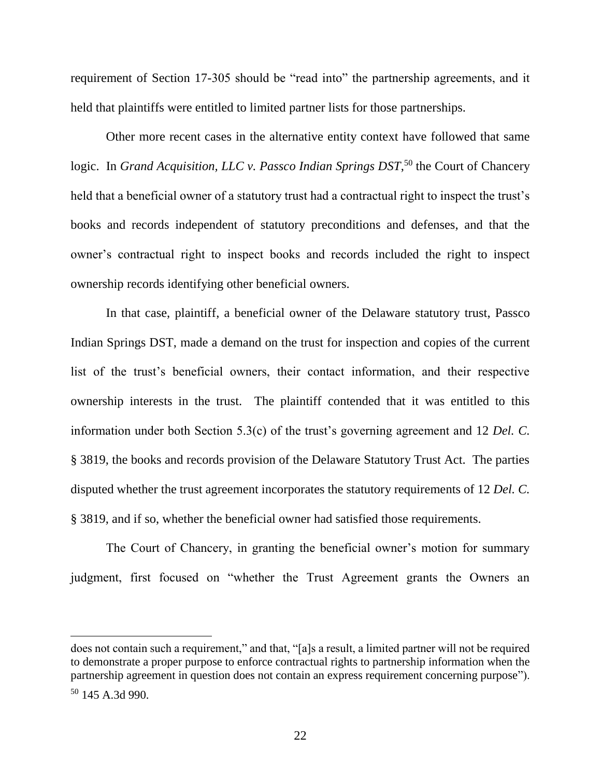requirement of Section 17-305 should be "read into" the partnership agreements, and it held that plaintiffs were entitled to limited partner lists for those partnerships.

Other more recent cases in the alternative entity context have followed that same logic. In *Grand Acquisition, LLC v. Passco Indian Springs DST*,<sup>50</sup> the Court of Chancery held that a beneficial owner of a statutory trust had a contractual right to inspect the trust's books and records independent of statutory preconditions and defenses, and that the owner's contractual right to inspect books and records included the right to inspect ownership records identifying other beneficial owners.

In that case, plaintiff, a beneficial owner of the Delaware statutory trust, Passco Indian Springs DST, made a demand on the trust for inspection and copies of the current list of the trust's beneficial owners, their contact information, and their respective ownership interests in the trust. The plaintiff contended that it was entitled to this information under both Section 5.3(c) of the trust's governing agreement and 12 *Del. C.* § 3819, the books and records provision of the Delaware Statutory Trust Act. The parties disputed whether the trust agreement incorporates the statutory requirements of 12 *Del. C.* § 3819, and if so, whether the beneficial owner had satisfied those requirements.

The Court of Chancery, in granting the beneficial owner's motion for summary judgment, first focused on "whether the Trust Agreement grants the Owners an

l

does not contain such a requirement," and that, "[a]s a result, a limited partner will not be required to demonstrate a proper purpose to enforce contractual rights to partnership information when the partnership agreement in question does not contain an express requirement concerning purpose"). <sup>50</sup> 145 A.3d 990.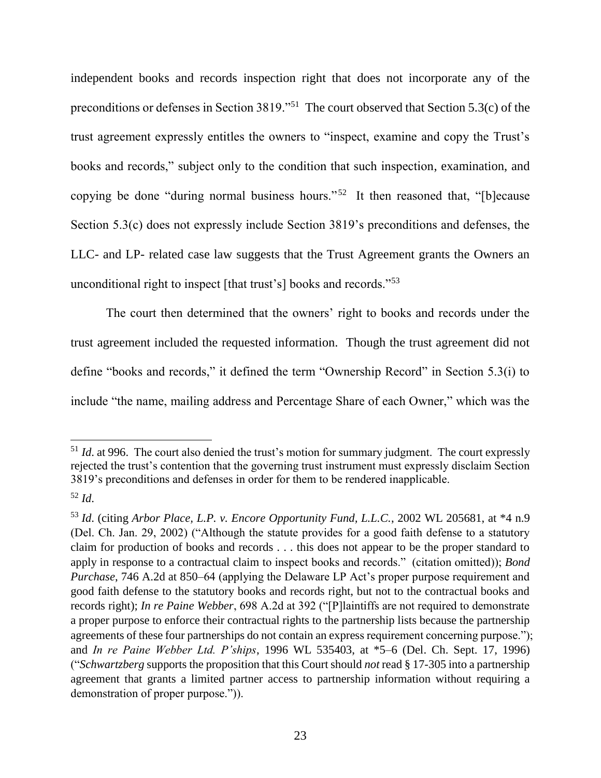independent books and records inspection right that does not incorporate any of the preconditions or defenses in Section 3819."<sup>51</sup> The court observed that Section 5.3(c) of the trust agreement expressly entitles the owners to "inspect, examine and copy the Trust's books and records," subject only to the condition that such inspection, examination, and copying be done "during normal business hours."<sup>52</sup> It then reasoned that, "[b]ecause Section 5.3(c) does not expressly include Section 3819's preconditions and defenses, the LLC- and LP- related case law suggests that the Trust Agreement grants the Owners an unconditional right to inspect [that trust's] books and records."<sup>53</sup>

The court then determined that the owners' right to books and records under the trust agreement included the requested information. Though the trust agreement did not define "books and records," it defined the term "Ownership Record" in Section 5.3(i) to include "the name, mailing address and Percentage Share of each Owner," which was the

<sup>&</sup>lt;sup>51</sup> *Id*. at 996. The court also denied the trust's motion for summary judgment. The court expressly rejected the trust's contention that the governing trust instrument must expressly disclaim Section 3819's preconditions and defenses in order for them to be rendered inapplicable.

<sup>52</sup> *Id*.

<sup>53</sup> *Id*. (citing *Arbor Place, L.P. v. Encore Opportunity Fund, L.L.C.*, 2002 WL 205681, at \*4 n.9 (Del. Ch. Jan. 29, 2002) ("Although the statute provides for a good faith defense to a statutory claim for production of books and records . . . this does not appear to be the proper standard to apply in response to a contractual claim to inspect books and records." (citation omitted)); *Bond Purchase*, 746 A.2d at 850–64 (applying the Delaware LP Act's proper purpose requirement and good faith defense to the statutory books and records right, but not to the contractual books and records right); *In re Paine Webber*, 698 A.2d at 392 ("[P]laintiffs are not required to demonstrate a proper purpose to enforce their contractual rights to the partnership lists because the partnership agreements of these four partnerships do not contain an express requirement concerning purpose."); and *In re Paine Webber Ltd. P'ships*, 1996 WL 535403, at \*5–6 (Del. Ch. Sept. 17, 1996) ("*Schwartzberg* supports the proposition that this Court should *not* read § 17-305 into a partnership agreement that grants a limited partner access to partnership information without requiring a demonstration of proper purpose.")).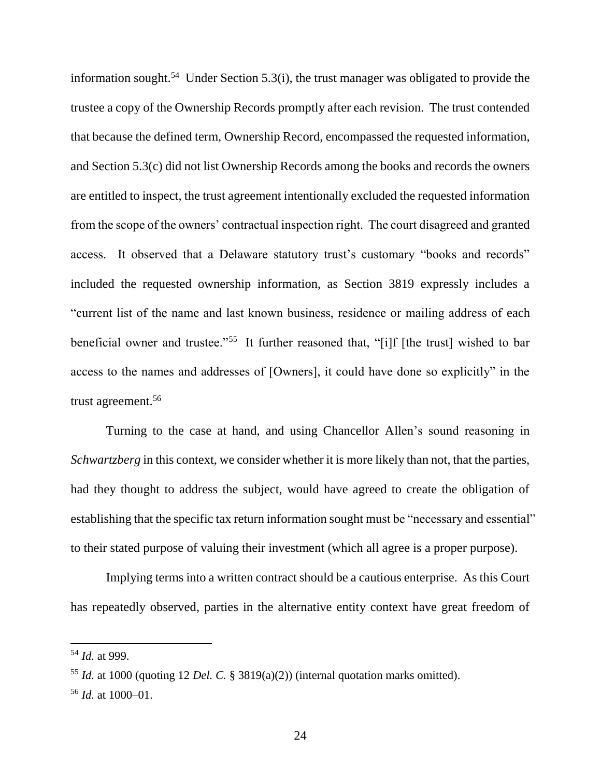information sought.<sup>54</sup> Under Section 5.3(i), the trust manager was obligated to provide the trustee a copy of the Ownership Records promptly after each revision. The trust contended that because the defined term, Ownership Record, encompassed the requested information, and Section 5.3(c) did not list Ownership Records among the books and records the owners are entitled to inspect, the trust agreement intentionally excluded the requested information from the scope of the owners' contractual inspection right. The court disagreed and granted access. It observed that a Delaware statutory trust's customary "books and records" included the requested ownership information, as Section 3819 expressly includes a "current list of the name and last known business, residence or mailing address of each beneficial owner and trustee."<sup>55</sup> It further reasoned that, "[i]f [the trust] wished to bar access to the names and addresses of [Owners], it could have done so explicitly" in the trust agreement.<sup>56</sup>

Turning to the case at hand, and using Chancellor Allen's sound reasoning in *Schwartzberg* in this context, we consider whether it is more likely than not, that the parties, had they thought to address the subject, would have agreed to create the obligation of establishing that the specific tax return information sought must be "necessary and essential" to their stated purpose of valuing their investment (which all agree is a proper purpose).

Implying terms into a written contract should be a cautious enterprise. As this Court has repeatedly observed, parties in the alternative entity context have great freedom of

<sup>54</sup> *Id.* at 999.

<sup>55</sup> *Id.* at 1000 (quoting 12 *Del. C.* § 3819(a)(2)) (internal quotation marks omitted).

<sup>56</sup> *Id.* at 1000–01.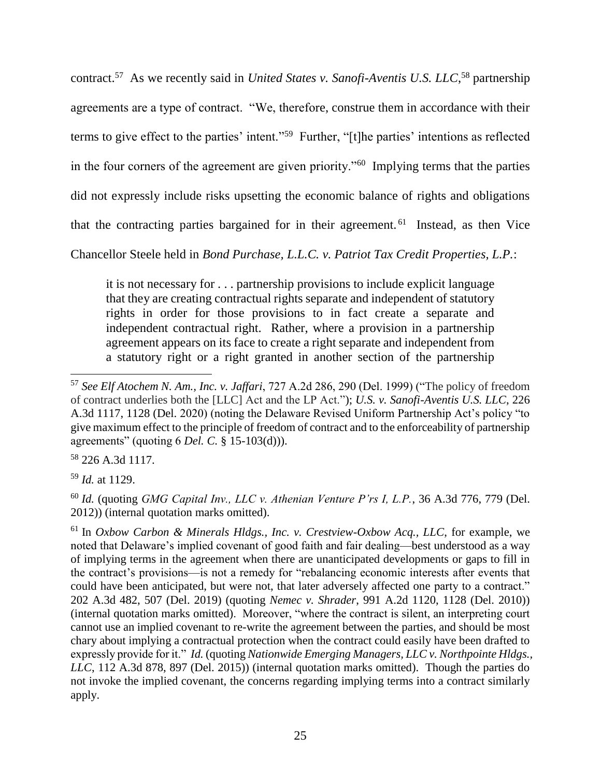contract.<sup>57</sup> As we recently said in *United States v. Sanofi-Aventis U.S. LLC*,<sup>58</sup> partnership agreements are a type of contract. "We, therefore, construe them in accordance with their terms to give effect to the parties' intent."<sup>59</sup> Further, "[t]he parties' intentions as reflected in the four corners of the agreement are given priority."<sup>60</sup> Implying terms that the parties did not expressly include risks upsetting the economic balance of rights and obligations that the contracting parties bargained for in their agreement.<sup>61</sup> Instead, as then Vice

Chancellor Steele held in *Bond Purchase, L.L.C. v. Patriot Tax Credit Properties, L.P.*:

it is not necessary for . . . partnership provisions to include explicit language that they are creating contractual rights separate and independent of statutory rights in order for those provisions to in fact create a separate and independent contractual right. Rather, where a provision in a partnership agreement appears on its face to create a right separate and independent from a statutory right or a right granted in another section of the partnership

<sup>58</sup> 226 A.3d 1117.

<sup>59</sup> *Id.* at 1129.

<sup>60</sup> *Id.* (quoting *GMG Capital Inv., LLC v. Athenian Venture P'rs I, L.P.*, 36 A.3d 776, 779 (Del. 2012)) (internal quotation marks omitted).

<sup>61</sup> In *Oxbow Carbon & Minerals Hldgs., Inc. v. Crestview-Oxbow Acq., LLC*, for example, we noted that Delaware's implied covenant of good faith and fair dealing—best understood as a way of implying terms in the agreement when there are unanticipated developments or gaps to fill in the contract's provisions—is not a remedy for "rebalancing economic interests after events that could have been anticipated, but were not, that later adversely affected one party to a contract." 202 A.3d 482, 507 (Del. 2019) (quoting *Nemec v. Shrader*, 991 A.2d 1120, 1128 (Del. 2010)) (internal quotation marks omitted). Moreover, "where the contract is silent, an interpreting court cannot use an implied covenant to re-write the agreement between the parties, and should be most chary about implying a contractual protection when the contract could easily have been drafted to expressly provide for it." *Id.* (quoting *Nationwide Emerging Managers, LLC v. Northpointe Hldgs., LLC*, 112 A.3d 878, 897 (Del. 2015)) (internal quotation marks omitted). Though the parties do not invoke the implied covenant, the concerns regarding implying terms into a contract similarly apply.

 $\overline{\phantom{a}}$ <sup>57</sup> *See Elf Atochem N. Am., Inc. v. Jaffari*, 727 A.2d 286, 290 (Del. 1999) ("The policy of freedom of contract underlies both the [LLC] Act and the LP Act."); *U.S. v. Sanofi-Aventis U.S. LLC*, 226 A.3d 1117, 1128 (Del. 2020) (noting the Delaware Revised Uniform Partnership Act's policy "to give maximum effect to the principle of freedom of contract and to the enforceability of partnership agreements" (quoting 6 *Del. C.* § 15-103(d))).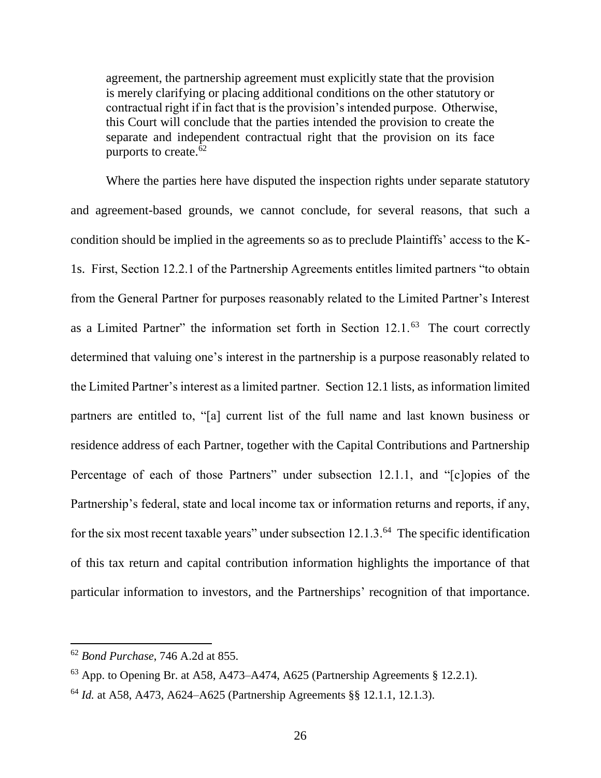agreement, the partnership agreement must explicitly state that the provision is merely clarifying or placing additional conditions on the other statutory or contractual right if in fact that is the provision's intended purpose. Otherwise, this Court will conclude that the parties intended the provision to create the separate and independent contractual right that the provision on its face purports to create. $62$ 

Where the parties here have disputed the inspection rights under separate statutory and agreement-based grounds, we cannot conclude, for several reasons, that such a condition should be implied in the agreements so as to preclude Plaintiffs' access to the K-1s. First, Section 12.2.1 of the Partnership Agreements entitles limited partners "to obtain from the General Partner for purposes reasonably related to the Limited Partner's Interest as a Limited Partner" the information set forth in Section 12.1.<sup>63</sup> The court correctly determined that valuing one's interest in the partnership is a purpose reasonably related to the Limited Partner's interest as a limited partner. Section 12.1 lists, as information limited partners are entitled to, "[a] current list of the full name and last known business or residence address of each Partner, together with the Capital Contributions and Partnership Percentage of each of those Partners" under subsection 12.1.1, and "[c]opies of the Partnership's federal, state and local income tax or information returns and reports, if any, for the six most recent taxable years" under subsection 12.1.3.<sup>64</sup> The specific identification of this tax return and capital contribution information highlights the importance of that particular information to investors, and the Partnerships' recognition of that importance.

<sup>62</sup> *Bond Purchase*, 746 A.2d at 855.

 $63$  App. to Opening Br. at A58, A473–A474, A625 (Partnership Agreements § 12.2.1).

<sup>64</sup> *Id.* at A58, A473, A624–A625 (Partnership Agreements §§ 12.1.1, 12.1.3).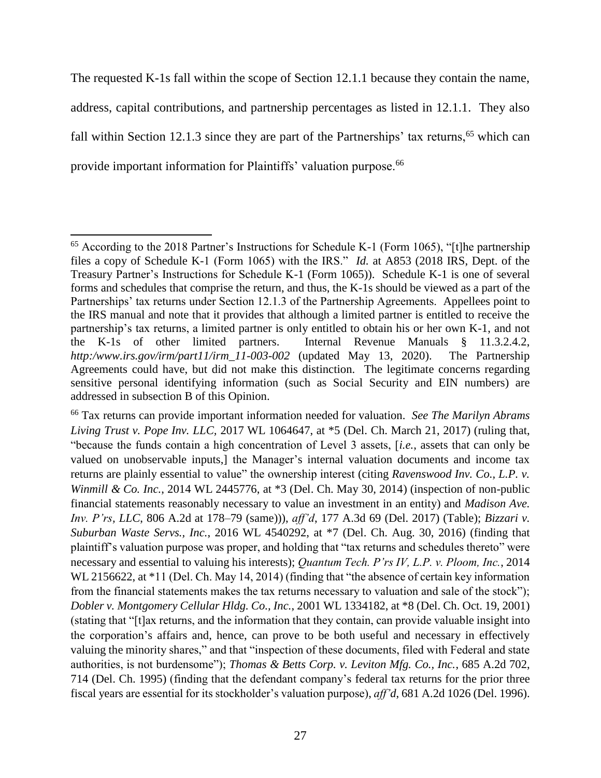The requested K-1s fall within the scope of Section 12.1.1 because they contain the name, address, capital contributions, and partnership percentages as listed in 12.1.1. They also fall within Section 12.1.3 since they are part of the Partnerships' tax returns,<sup>65</sup> which can provide important information for Plaintiffs' valuation purpose.<sup>66</sup>

 $\overline{\phantom{a}}$  $65$  According to the 2018 Partner's Instructions for Schedule K-1 (Form 1065), "[t]he partnership files a copy of Schedule K-1 (Form 1065) with the IRS." *Id.* at A853 (2018 IRS, Dept. of the Treasury Partner's Instructions for Schedule K-1 (Form 1065)). Schedule K-1 is one of several forms and schedules that comprise the return, and thus, the K-1s should be viewed as a part of the Partnerships' tax returns under Section 12.1.3 of the Partnership Agreements. Appellees point to the IRS manual and note that it provides that although a limited partner is entitled to receive the partnership's tax returns, a limited partner is only entitled to obtain his or her own K-1, and not the K-1s of other limited partners. Internal Revenue Manuals § 11.3.2.4.2, *http:/www.irs.gov/irm/part11/irm\_11-003-002* (updated May 13, 2020). The Partnership Agreements could have, but did not make this distinction. The legitimate concerns regarding sensitive personal identifying information (such as Social Security and EIN numbers) are addressed in subsection B of this Opinion.

<sup>66</sup> Tax returns can provide important information needed for valuation. *See The Marilyn Abrams Living Trust v. Pope Inv. LLC,* 2017 WL 1064647, at \*5 (Del. Ch. March 21, 2017) (ruling that, "because the funds contain a high concentration of Level 3 assets, [*i.e.*, assets that can only be valued on unobservable inputs,] the Manager's internal valuation documents and income tax returns are plainly essential to value" the ownership interest (citing *Ravenswood Inv. Co., L.P. v. Winmill & Co. Inc.*, 2014 WL 2445776, at \*3 (Del. Ch. May 30, 2014) (inspection of non-public financial statements reasonably necessary to value an investment in an entity) and *Madison Ave. Inv. P'rs, LLC*, 806 A.2d at 178–79 (same))), *aff'd*, 177 A.3d 69 (Del. 2017) (Table); *Bizzari v. Suburban Waste Servs., Inc.*, 2016 WL 4540292, at \*7 (Del. Ch. Aug. 30, 2016) (finding that plaintiff's valuation purpose was proper, and holding that "tax returns and schedules thereto" were necessary and essential to valuing his interests); *Quantum Tech. P'rs IV, L.P. v. Ploom, Inc.*, 2014 WL 2156622, at \*11 (Del. Ch. May 14, 2014) (finding that "the absence of certain key information from the financial statements makes the tax returns necessary to valuation and sale of the stock"); *Dobler v. Montgomery Cellular Hldg. Co., Inc.*, 2001 WL 1334182, at \*8 (Del. Ch. Oct. 19, 2001) (stating that "[t]ax returns, and the information that they contain, can provide valuable insight into the corporation's affairs and, hence, can prove to be both useful and necessary in effectively valuing the minority shares," and that "inspection of these documents, filed with Federal and state authorities, is not burdensome"); *Thomas & Betts Corp. v. Leviton Mfg. Co., Inc.*, 685 A.2d 702, 714 (Del. Ch. 1995) (finding that the defendant company's federal tax returns for the prior three fiscal years are essential for its stockholder's valuation purpose), *aff'd*, 681 A.2d 1026 (Del. 1996).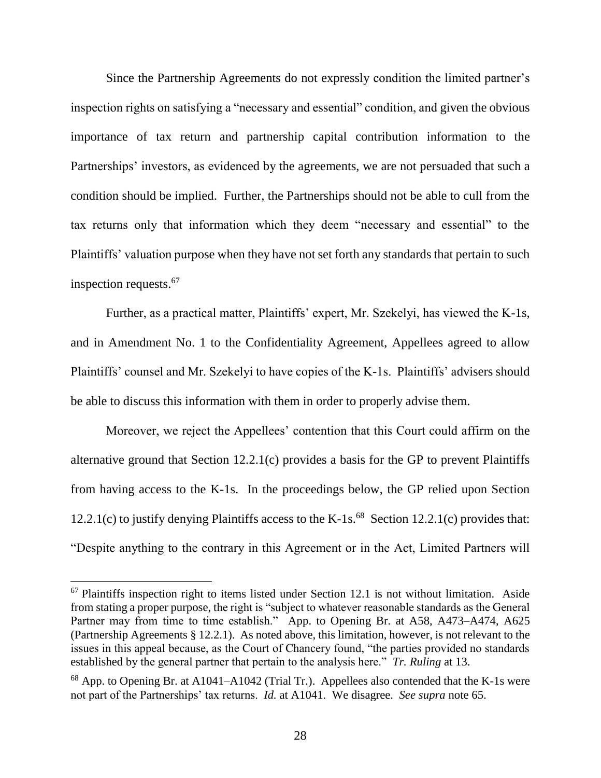Since the Partnership Agreements do not expressly condition the limited partner's inspection rights on satisfying a "necessary and essential" condition, and given the obvious importance of tax return and partnership capital contribution information to the Partnerships' investors, as evidenced by the agreements, we are not persuaded that such a condition should be implied. Further, the Partnerships should not be able to cull from the tax returns only that information which they deem "necessary and essential" to the Plaintiffs' valuation purpose when they have not set forth any standards that pertain to such inspection requests.<sup>67</sup>

Further, as a practical matter, Plaintiffs' expert, Mr. Szekelyi, has viewed the K-1s, and in Amendment No. 1 to the Confidentiality Agreement, Appellees agreed to allow Plaintiffs' counsel and Mr. Szekelyi to have copies of the K-1s. Plaintiffs' advisers should be able to discuss this information with them in order to properly advise them.

Moreover, we reject the Appellees' contention that this Court could affirm on the alternative ground that Section 12.2.1(c) provides a basis for the GP to prevent Plaintiffs from having access to the K-1s. In the proceedings below, the GP relied upon Section 12.2.1(c) to justify denying Plaintiffs access to the K-1s.<sup>68</sup> Section 12.2.1(c) provides that: "Despite anything to the contrary in this Agreement or in the Act, Limited Partners will

 $67$  Plaintiffs inspection right to items listed under Section 12.1 is not without limitation. Aside from stating a proper purpose, the right is "subject to whatever reasonable standards as the General Partner may from time to time establish." App. to Opening Br. at A58, A473–A474, A625 (Partnership Agreements § 12.2.1). As noted above, this limitation, however, is not relevant to the issues in this appeal because, as the Court of Chancery found, "the parties provided no standards established by the general partner that pertain to the analysis here." *Tr. Ruling* at 13.

 $68$  App. to Opening Br. at A1041–A1042 (Trial Tr.). Appellees also contended that the K-1s were not part of the Partnerships' tax returns. *Id.* at A1041. We disagree. *See supra* note 65.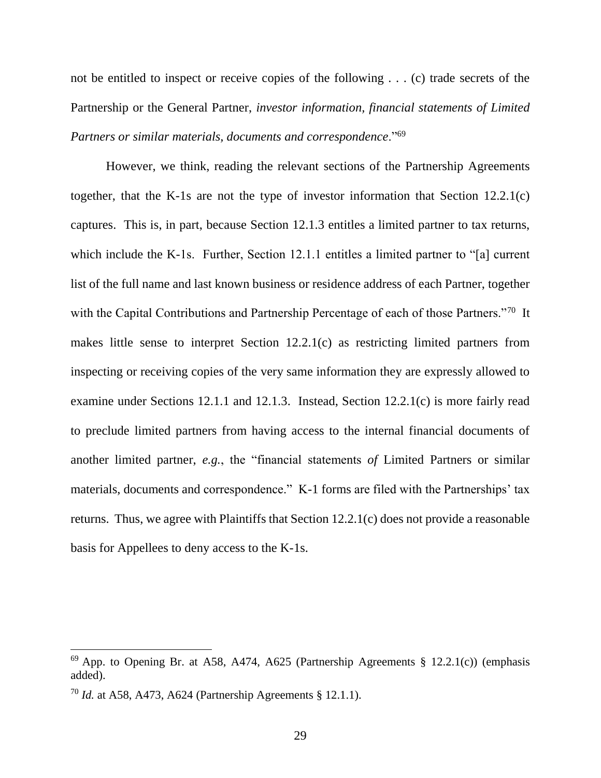not be entitled to inspect or receive copies of the following . . . (c) trade secrets of the Partnership or the General Partner, *investor information, financial statements of Limited Partners or similar materials, documents and correspondence*."<sup>69</sup>

However, we think, reading the relevant sections of the Partnership Agreements together, that the K-1s are not the type of investor information that Section 12.2.1(c) captures. This is, in part, because Section 12.1.3 entitles a limited partner to tax returns, which include the K-1s. Further, Section 12.1.1 entitles a limited partner to "[a] current list of the full name and last known business or residence address of each Partner, together with the Capital Contributions and Partnership Percentage of each of those Partners."<sup>70</sup> It makes little sense to interpret Section 12.2.1(c) as restricting limited partners from inspecting or receiving copies of the very same information they are expressly allowed to examine under Sections 12.1.1 and 12.1.3. Instead, Section 12.2.1(c) is more fairly read to preclude limited partners from having access to the internal financial documents of another limited partner, *e.g.*, the "financial statements *of* Limited Partners or similar materials, documents and correspondence." K-1 forms are filed with the Partnerships' tax returns. Thus, we agree with Plaintiffs that Section 12.2.1(c) does not provide a reasonable basis for Appellees to deny access to the K-1s.

 $^{69}$  App. to Opening Br. at A58, A474, A625 (Partnership Agreements § 12.2.1(c)) (emphasis added).

<sup>70</sup> *Id.* at A58, A473, A624 (Partnership Agreements § 12.1.1).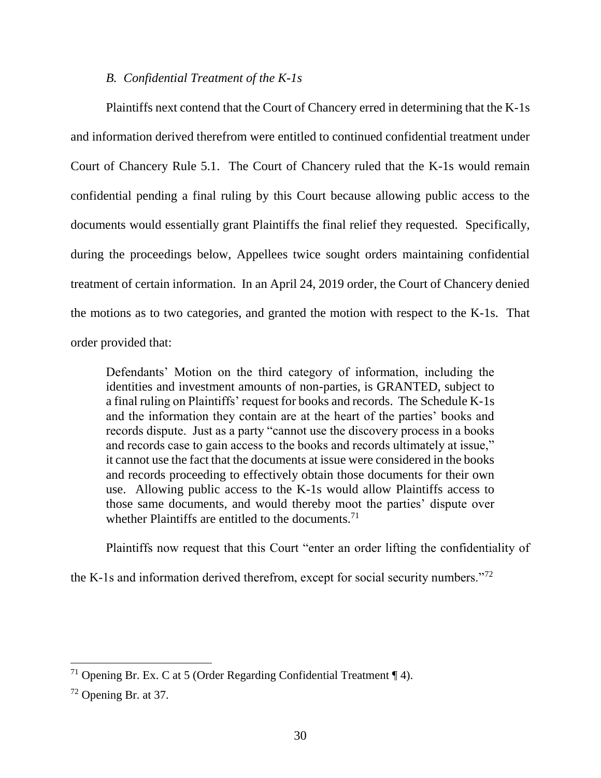### *B. Confidential Treatment of the K-1s*

Plaintiffs next contend that the Court of Chancery erred in determining that the K-1s and information derived therefrom were entitled to continued confidential treatment under Court of Chancery Rule 5.1. The Court of Chancery ruled that the K-1s would remain confidential pending a final ruling by this Court because allowing public access to the documents would essentially grant Plaintiffs the final relief they requested. Specifically, during the proceedings below, Appellees twice sought orders maintaining confidential treatment of certain information. In an April 24, 2019 order, the Court of Chancery denied the motions as to two categories, and granted the motion with respect to the K-1s. That order provided that:

Defendants' Motion on the third category of information, including the identities and investment amounts of non-parties, is GRANTED, subject to a final ruling on Plaintiffs' request for books and records. The Schedule K-1s and the information they contain are at the heart of the parties' books and records dispute. Just as a party "cannot use the discovery process in a books and records case to gain access to the books and records ultimately at issue," it cannot use the fact that the documents at issue were considered in the books and records proceeding to effectively obtain those documents for their own use. Allowing public access to the K-1s would allow Plaintiffs access to those same documents, and would thereby moot the parties' dispute over whether Plaintiffs are entitled to the documents.<sup>71</sup>

Plaintiffs now request that this Court "enter an order lifting the confidentiality of

the K-1s and information derived therefrom, except for social security numbers."<sup>72</sup>

<sup>&</sup>lt;sup>71</sup> Opening Br. Ex. C at 5 (Order Regarding Confidential Treatment  $\P$  4).

 $72$  Opening Br. at 37.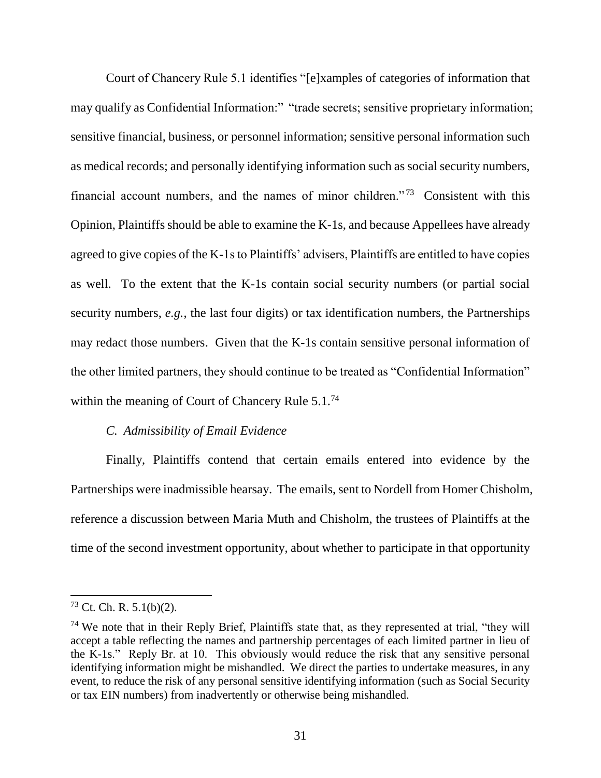Court of Chancery Rule 5.1 identifies "[e]xamples of categories of information that may qualify as Confidential Information:" "trade secrets; sensitive proprietary information; sensitive financial, business, or personnel information; sensitive personal information such as medical records; and personally identifying information such as social security numbers, financial account numbers, and the names of minor children."<sup>73</sup> Consistent with this Opinion, Plaintiffs should be able to examine the K-1s, and because Appellees have already agreed to give copies of the K-1s to Plaintiffs' advisers, Plaintiffs are entitled to have copies as well. To the extent that the K-1s contain social security numbers (or partial social security numbers, *e.g.*, the last four digits) or tax identification numbers, the Partnerships may redact those numbers. Given that the K-1s contain sensitive personal information of the other limited partners, they should continue to be treated as "Confidential Information" within the meaning of Court of Chancery Rule 5.1.<sup>74</sup>

#### *C. Admissibility of Email Evidence*

Finally, Plaintiffs contend that certain emails entered into evidence by the Partnerships were inadmissible hearsay. The emails, sent to Nordell from Homer Chisholm, reference a discussion between Maria Muth and Chisholm, the trustees of Plaintiffs at the time of the second investment opportunity, about whether to participate in that opportunity

 $73$  Ct. Ch. R. 5.1(b)(2).

 $74$  We note that in their Reply Brief, Plaintiffs state that, as they represented at trial, "they will accept a table reflecting the names and partnership percentages of each limited partner in lieu of the K-1s." Reply Br. at 10. This obviously would reduce the risk that any sensitive personal identifying information might be mishandled. We direct the parties to undertake measures, in any event, to reduce the risk of any personal sensitive identifying information (such as Social Security or tax EIN numbers) from inadvertently or otherwise being mishandled.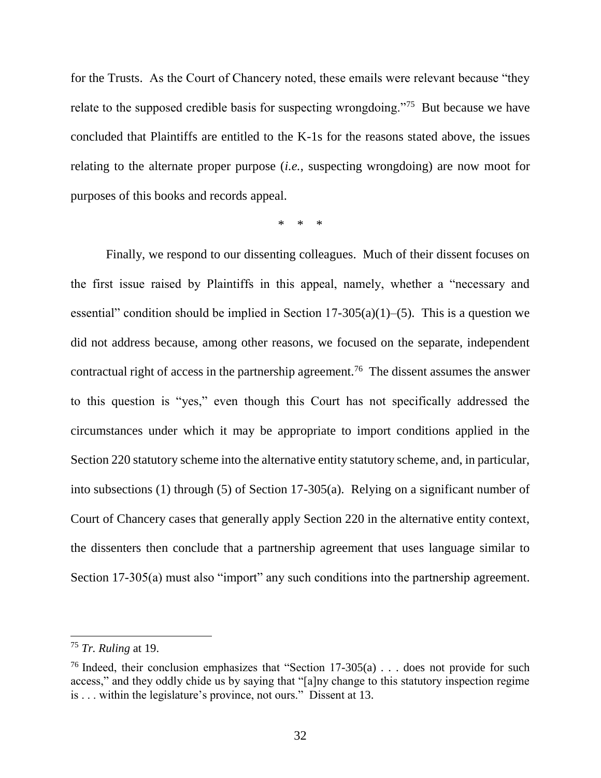for the Trusts. As the Court of Chancery noted, these emails were relevant because "they relate to the supposed credible basis for suspecting wrongdoing."<sup>75</sup> But because we have concluded that Plaintiffs are entitled to the K-1s for the reasons stated above, the issues relating to the alternate proper purpose (*i.e.*, suspecting wrongdoing) are now moot for purposes of this books and records appeal.

\* \* \*

Finally, we respond to our dissenting colleagues. Much of their dissent focuses on the first issue raised by Plaintiffs in this appeal, namely, whether a "necessary and essential" condition should be implied in Section 17-305(a)(1)–(5). This is a question we did not address because, among other reasons, we focused on the separate, independent contractual right of access in the partnership agreement.<sup>76</sup> The dissent assumes the answer to this question is "yes," even though this Court has not specifically addressed the circumstances under which it may be appropriate to import conditions applied in the Section 220 statutory scheme into the alternative entity statutory scheme, and, in particular, into subsections (1) through (5) of Section 17-305(a). Relying on a significant number of Court of Chancery cases that generally apply Section 220 in the alternative entity context, the dissenters then conclude that a partnership agreement that uses language similar to Section 17-305(a) must also "import" any such conditions into the partnership agreement.

l

<sup>75</sup> *Tr. Ruling* at 19.

<sup>&</sup>lt;sup>76</sup> Indeed, their conclusion emphasizes that "Section  $17-305(a)$ ... does not provide for such access," and they oddly chide us by saying that "[a]ny change to this statutory inspection regime is . . . within the legislature's province, not ours." Dissent at 13.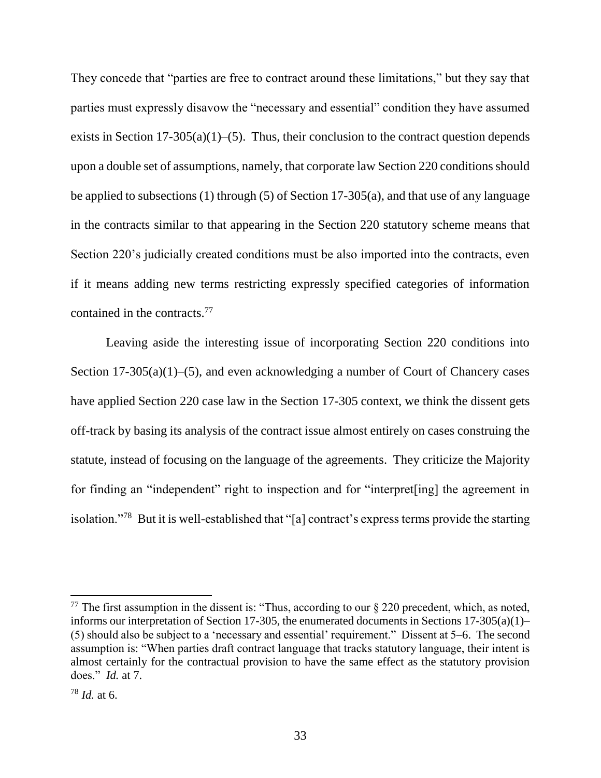They concede that "parties are free to contract around these limitations," but they say that parties must expressly disavow the "necessary and essential" condition they have assumed exists in Section 17-305(a)(1)–(5). Thus, their conclusion to the contract question depends upon a double set of assumptions, namely, that corporate law Section 220 conditions should be applied to subsections (1) through (5) of Section 17-305(a), and that use of any language in the contracts similar to that appearing in the Section 220 statutory scheme means that Section 220's judicially created conditions must be also imported into the contracts, even if it means adding new terms restricting expressly specified categories of information contained in the contracts. 77

Leaving aside the interesting issue of incorporating Section 220 conditions into Section 17-305(a)(1)–(5), and even acknowledging a number of Court of Chancery cases have applied Section 220 case law in the Section 17-305 context, we think the dissent gets off-track by basing its analysis of the contract issue almost entirely on cases construing the statute, instead of focusing on the language of the agreements. They criticize the Majority for finding an "independent" right to inspection and for "interpret[ing] the agreement in isolation."<sup>78</sup> But it is well-established that "[a] contract's express terms provide the starting

<sup>&</sup>lt;sup>77</sup> The first assumption in the dissent is: "Thus, according to our  $\S 220$  precedent, which, as noted, informs our interpretation of Section 17-305, the enumerated documents in Sections 17-305(a)(1)– (5) should also be subject to a 'necessary and essential' requirement." Dissent at 5–6. The second assumption is: "When parties draft contract language that tracks statutory language, their intent is almost certainly for the contractual provision to have the same effect as the statutory provision does." *Id.* at 7.

<sup>78</sup> *Id.* at 6.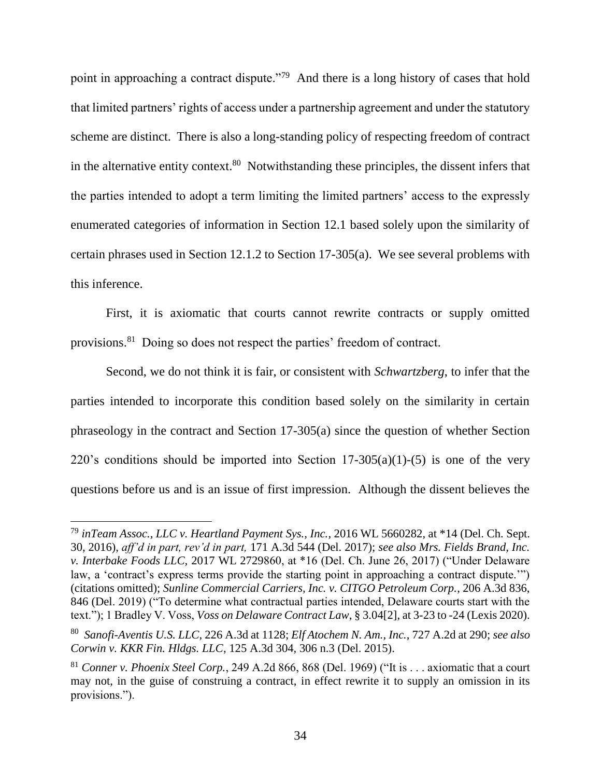point in approaching a contract dispute."<sup>79</sup> And there is a long history of cases that hold that limited partners' rights of access under a partnership agreement and under the statutory scheme are distinct. There is also a long-standing policy of respecting freedom of contract in the alternative entity context.<sup>80</sup> Notwithstanding these principles, the dissent infers that the parties intended to adopt a term limiting the limited partners' access to the expressly enumerated categories of information in Section 12.1 based solely upon the similarity of certain phrases used in Section 12.1.2 to Section 17-305(a). We see several problems with this inference.

First, it is axiomatic that courts cannot rewrite contracts or supply omitted provisions.<sup>81</sup> Doing so does not respect the parties' freedom of contract.

Second, we do not think it is fair, or consistent with *Schwartzberg*, to infer that the parties intended to incorporate this condition based solely on the similarity in certain phraseology in the contract and Section 17-305(a) since the question of whether Section 220's conditions should be imported into Section  $17-305(a)(1)-(5)$  is one of the very questions before us and is an issue of first impression. Although the dissent believes the

<sup>79</sup> *inTeam Assoc., LLC v. Heartland Payment Sys., Inc.*, 2016 WL 5660282, at \*14 (Del. Ch. Sept. 30, 2016), *aff'd in part, rev'd in part,* 171 A.3d 544 (Del. 2017); *see also Mrs. Fields Brand, Inc. v. Interbake Foods LLC,* 2017 WL 2729860, at \*16 (Del. Ch. June 26, 2017) ("Under Delaware law, a 'contract's express terms provide the starting point in approaching a contract dispute.'") (citations omitted); *Sunline Commercial Carriers, Inc. v. CITGO Petroleum Corp.*, 206 A.3d 836, 846 (Del. 2019) ("To determine what contractual parties intended, Delaware courts start with the text."); 1 Bradley V. Voss, *Voss on Delaware Contract Law*, § 3.04[2], at 3-23 to -24 (Lexis 2020).

<sup>80</sup> *Sanofi-Aventis U.S. LLC*, 226 A.3d at 1128; *Elf Atochem N. Am., Inc.*, 727 A.2d at 290; *see also Corwin v. KKR Fin. Hldgs. LLC*, 125 A.3d 304, 306 n.3 (Del. 2015).

<sup>81</sup> *Conner v. Phoenix Steel Corp.*, 249 A.2d 866, 868 (Del. 1969) ("It is . . . axiomatic that a court may not, in the guise of construing a contract, in effect rewrite it to supply an omission in its provisions.").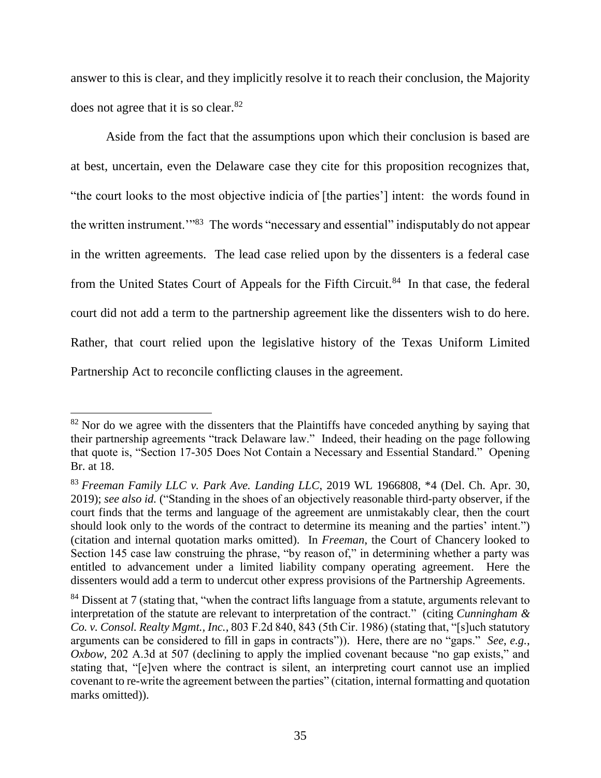answer to this is clear, and they implicitly resolve it to reach their conclusion, the Majority does not agree that it is so clear. $82$ 

Aside from the fact that the assumptions upon which their conclusion is based are at best, uncertain, even the Delaware case they cite for this proposition recognizes that, "the court looks to the most objective indicia of [the parties'] intent: the words found in the written instrument."<sup>83</sup> The words "necessary and essential" indisputably do not appear in the written agreements. The lead case relied upon by the dissenters is a federal case from the United States Court of Appeals for the Fifth Circuit.<sup>84</sup> In that case, the federal court did not add a term to the partnership agreement like the dissenters wish to do here. Rather, that court relied upon the legislative history of the Texas Uniform Limited Partnership Act to reconcile conflicting clauses in the agreement.

 $82$  Nor do we agree with the dissenters that the Plaintiffs have conceded anything by saying that their partnership agreements "track Delaware law." Indeed, their heading on the page following that quote is, "Section 17-305 Does Not Contain a Necessary and Essential Standard." Opening Br. at 18.

<sup>83</sup> *Freeman Family LLC v. Park Ave. Landing LLC*, 2019 WL 1966808, \*4 (Del. Ch. Apr. 30, 2019); *see also id.* ("Standing in the shoes of an objectively reasonable third-party observer, if the court finds that the terms and language of the agreement are unmistakably clear, then the court should look only to the words of the contract to determine its meaning and the parties' intent.") (citation and internal quotation marks omitted). In *Freeman*, the Court of Chancery looked to Section 145 case law construing the phrase, "by reason of," in determining whether a party was entitled to advancement under a limited liability company operating agreement. Here the dissenters would add a term to undercut other express provisions of the Partnership Agreements.

<sup>&</sup>lt;sup>84</sup> Dissent at 7 (stating that, "when the contract lifts language from a statute, arguments relevant to interpretation of the statute are relevant to interpretation of the contract." (citing *Cunningham & Co. v. Consol. Realty Mgmt., Inc.*, 803 F.2d 840, 843 (5th Cir. 1986) (stating that, "[s]uch statutory arguments can be considered to fill in gaps in contracts")). Here, there are no "gaps." *See*, *e.g.*, *Oxbow*, 202 A.3d at 507 (declining to apply the implied covenant because "no gap exists," and stating that, "[e]ven where the contract is silent, an interpreting court cannot use an implied covenant to re-write the agreement between the parties" (citation, internal formatting and quotation marks omitted).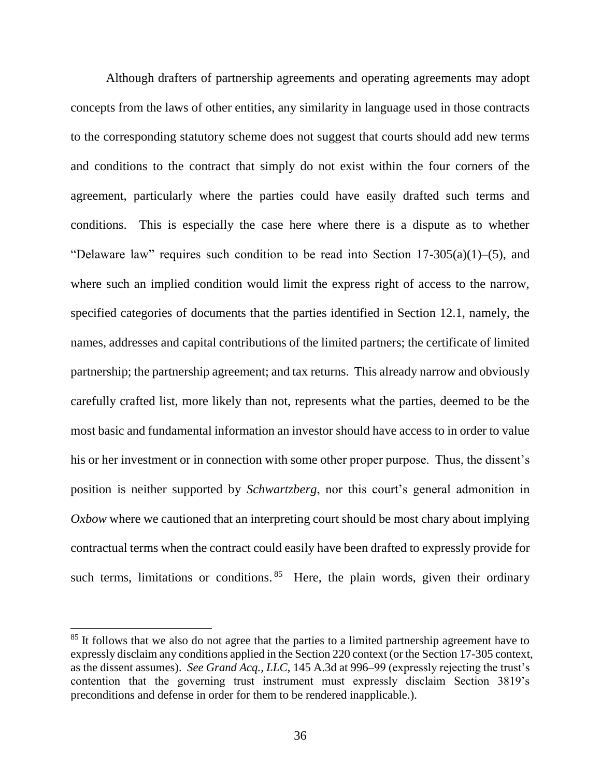Although drafters of partnership agreements and operating agreements may adopt concepts from the laws of other entities, any similarity in language used in those contracts to the corresponding statutory scheme does not suggest that courts should add new terms and conditions to the contract that simply do not exist within the four corners of the agreement, particularly where the parties could have easily drafted such terms and conditions. This is especially the case here where there is a dispute as to whether "Delaware law" requires such condition to be read into Section  $17-305(a)(1)$ –(5), and where such an implied condition would limit the express right of access to the narrow, specified categories of documents that the parties identified in Section 12.1, namely, the names, addresses and capital contributions of the limited partners; the certificate of limited partnership; the partnership agreement; and tax returns. This already narrow and obviously carefully crafted list, more likely than not, represents what the parties, deemed to be the most basic and fundamental information an investor should have access to in order to value his or her investment or in connection with some other proper purpose. Thus, the dissent's position is neither supported by *Schwartzberg*, nor this court's general admonition in *Oxbow* where we cautioned that an interpreting court should be most chary about implying contractual terms when the contract could easily have been drafted to expressly provide for such terms, limitations or conditions.  $85$  Here, the plain words, given their ordinary

<sup>&</sup>lt;sup>85</sup> It follows that we also do not agree that the parties to a limited partnership agreement have to expressly disclaim any conditions applied in the Section 220 context (or the Section 17-305 context, as the dissent assumes). *See Grand Acq., LLC*, 145 A.3d at 996–99 (expressly rejecting the trust's contention that the governing trust instrument must expressly disclaim Section 3819's preconditions and defense in order for them to be rendered inapplicable.).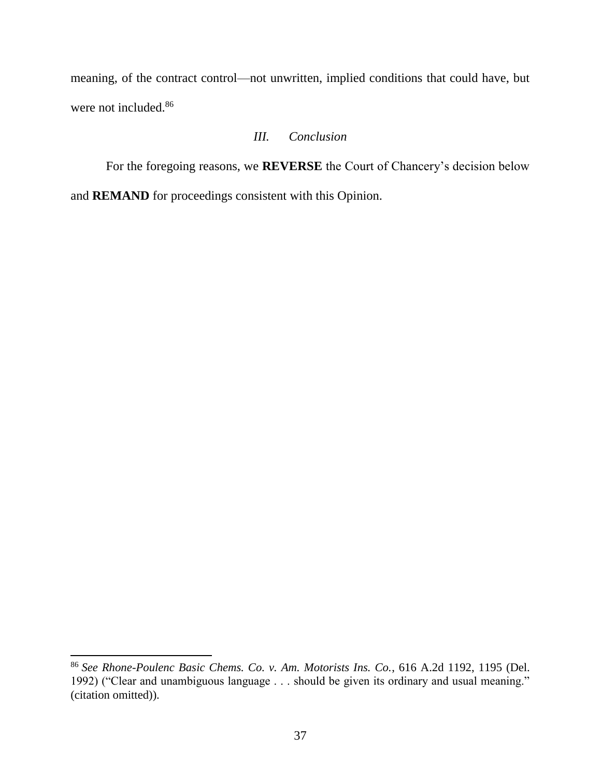meaning, of the contract control—not unwritten, implied conditions that could have, but were not included.<sup>86</sup>

# *III. Conclusion*

For the foregoing reasons, we **REVERSE** the Court of Chancery's decision below and **REMAND** for proceedings consistent with this Opinion.

<sup>86</sup> *See Rhone-Poulenc Basic Chems. Co. v. Am. Motorists Ins. Co.*, 616 A.2d 1192, 1195 (Del. 1992) ("Clear and unambiguous language . . . should be given its ordinary and usual meaning." (citation omitted)).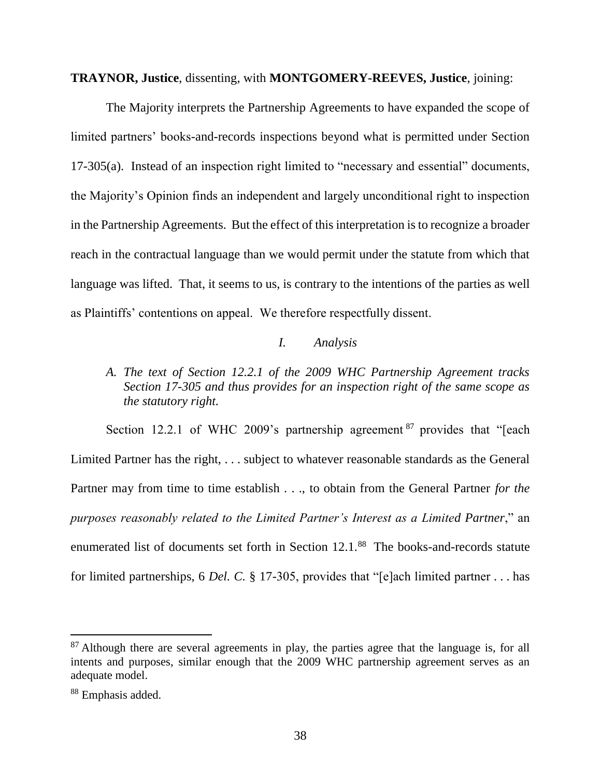#### **TRAYNOR, Justice**, dissenting, with **MONTGOMERY-REEVES, Justice**, joining:

The Majority interprets the Partnership Agreements to have expanded the scope of limited partners' books-and-records inspections beyond what is permitted under Section 17-305(a). Instead of an inspection right limited to "necessary and essential" documents, the Majority's Opinion finds an independent and largely unconditional right to inspection in the Partnership Agreements. But the effect of this interpretation is to recognize a broader reach in the contractual language than we would permit under the statute from which that language was lifted. That, it seems to us, is contrary to the intentions of the parties as well as Plaintiffs' contentions on appeal. We therefore respectfully dissent.

### *I. Analysis*

# *A. The text of Section 12.2.1 of the 2009 WHC Partnership Agreement tracks Section 17-305 and thus provides for an inspection right of the same scope as the statutory right.*

Section 12.2.1 of WHC 2009's partnership agreement <sup>87</sup> provides that "[each Limited Partner has the right, . . . subject to whatever reasonable standards as the General Partner may from time to time establish . . ., to obtain from the General Partner *for the purposes reasonably related to the Limited Partner's Interest as a Limited Partner*," an enumerated list of documents set forth in Section 12.1.<sup>88</sup> The books-and-records statute for limited partnerships, 6 *Del. C.* § 17-305, provides that "[e]ach limited partner . . . has

 $87$  Although there are several agreements in play, the parties agree that the language is, for all intents and purposes, similar enough that the 2009 WHC partnership agreement serves as an adequate model.

<sup>88</sup> Emphasis added.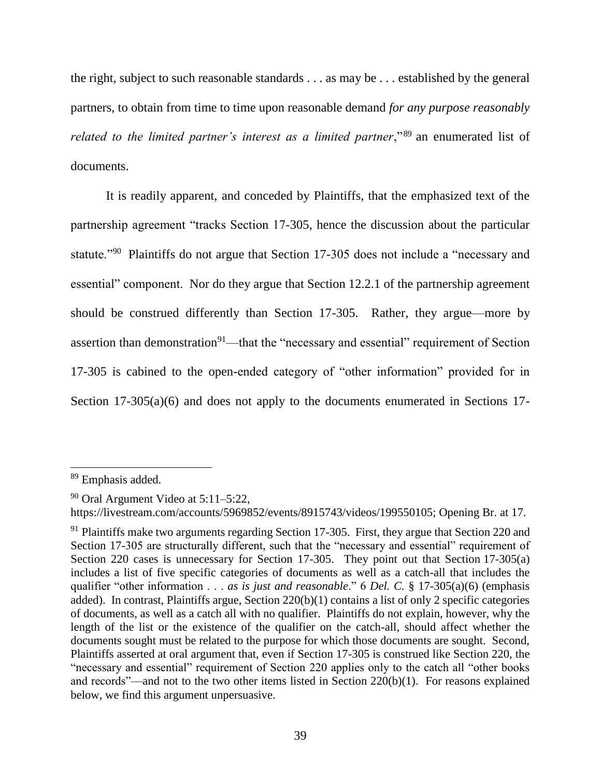the right, subject to such reasonable standards . . . as may be . . . established by the general partners, to obtain from time to time upon reasonable demand *for any purpose reasonably related to the limited partner's interest as a limited partner*,"<sup>89</sup> an enumerated list of documents.

It is readily apparent, and conceded by Plaintiffs, that the emphasized text of the partnership agreement "tracks Section 17-305, hence the discussion about the particular statute."<sup>90</sup> Plaintiffs do not argue that Section 17-305 does not include a "necessary and essential" component. Nor do they argue that Section 12.2.1 of the partnership agreement should be construed differently than Section 17-305. Rather, they argue—more by assertion than demonstration<sup>91</sup>—that the "necessary and essential" requirement of Section 17-305 is cabined to the open-ended category of "other information" provided for in Section 17-305(a)(6) and does not apply to the documents enumerated in Sections 17-

<sup>&</sup>lt;sup>89</sup> Emphasis added.

 $90$  Oral Argument Video at 5:11–5:22,

https://livestream.com/accounts/5969852/events/8915743/videos/199550105; Opening Br. at 17.

<sup>&</sup>lt;sup>91</sup> Plaintiffs make two arguments regarding Section 17-305. First, they argue that Section 220 and Section 17-305 are structurally different, such that the "necessary and essential" requirement of Section 220 cases is unnecessary for Section 17-305. They point out that Section 17-305(a) includes a list of five specific categories of documents as well as a catch-all that includes the qualifier "other information . . . *as is just and reasonable*." 6 *Del. C.* § 17-305(a)(6) (emphasis added). In contrast, Plaintiffs argue, Section 220(b)(1) contains a list of only 2 specific categories of documents, as well as a catch all with no qualifier. Plaintiffs do not explain, however, why the length of the list or the existence of the qualifier on the catch-all, should affect whether the documents sought must be related to the purpose for which those documents are sought. Second, Plaintiffs asserted at oral argument that, even if Section 17-305 is construed like Section 220, the "necessary and essential" requirement of Section 220 applies only to the catch all "other books and records"—and not to the two other items listed in Section 220(b)(1). For reasons explained below, we find this argument unpersuasive.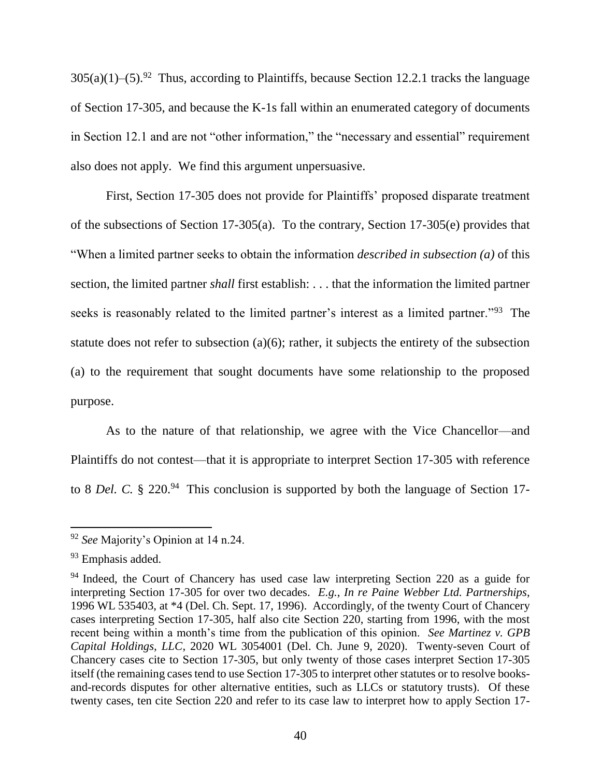$305(a)(1)$ –(5).<sup>92</sup> Thus, according to Plaintiffs, because Section 12.2.1 tracks the language of Section 17-305, and because the K-1s fall within an enumerated category of documents in Section 12.1 and are not "other information," the "necessary and essential" requirement also does not apply. We find this argument unpersuasive.

First, Section 17-305 does not provide for Plaintiffs' proposed disparate treatment of the subsections of Section 17-305(a). To the contrary, Section 17-305(e) provides that "When a limited partner seeks to obtain the information *described in subsection (a)* of this section, the limited partner *shall* first establish: . . . that the information the limited partner seeks is reasonably related to the limited partner's interest as a limited partner."<sup>93</sup> The statute does not refer to subsection (a)(6); rather, it subjects the entirety of the subsection (a) to the requirement that sought documents have some relationship to the proposed purpose.

As to the nature of that relationship, we agree with the Vice Chancellor—and Plaintiffs do not contest—that it is appropriate to interpret Section 17-305 with reference to 8 *Del.* C. § 220.<sup>94</sup> This conclusion is supported by both the language of Section 17-

<sup>92</sup> *See* Majority's Opinion at 14 n.24.

<sup>93</sup> Emphasis added.

<sup>&</sup>lt;sup>94</sup> Indeed, the Court of Chancery has used case law interpreting Section 220 as a guide for interpreting Section 17-305 for over two decades. *E.g.*, *In re Paine Webber Ltd. Partnerships*, 1996 WL 535403, at \*4 (Del. Ch. Sept. 17, 1996). Accordingly, of the twenty Court of Chancery cases interpreting Section 17-305, half also cite Section 220, starting from 1996, with the most recent being within a month's time from the publication of this opinion. *See Martinez v. GPB Capital Holdings, LLC*, 2020 WL 3054001 (Del. Ch. June 9, 2020). Twenty-seven Court of Chancery cases cite to Section 17-305, but only twenty of those cases interpret Section 17-305 itself (the remaining cases tend to use Section 17-305 to interpret other statutes or to resolve booksand-records disputes for other alternative entities, such as LLCs or statutory trusts). Of these twenty cases, ten cite Section 220 and refer to its case law to interpret how to apply Section 17-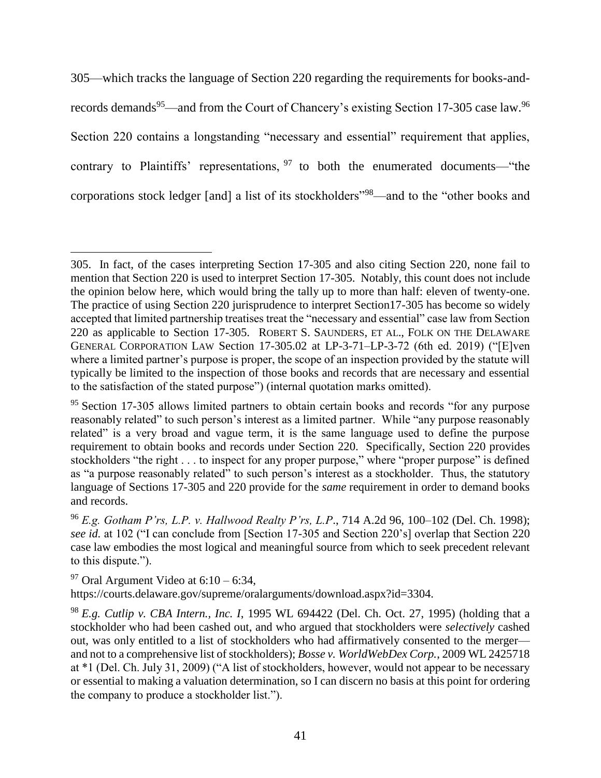305—which tracks the language of Section 220 regarding the requirements for books-andrecords demands<sup>95</sup>—and from the Court of Chancery's existing Section 17-305 case law.<sup>96</sup> Section 220 contains a longstanding "necessary and essential" requirement that applies, contrary to Plaintiffs' representations,  $97$  to both the enumerated documents—"the corporations stock ledger [and] a list of its stockholders"<sup>98</sup>—and to the "other books and

 $97$  Oral Argument Video at 6:10 – 6:34,

 $\overline{\phantom{a}}$ 

https://courts.delaware.gov/supreme/oralarguments/download.aspx?id=3304.

<sup>305.</sup> In fact, of the cases interpreting Section 17-305 and also citing Section 220, none fail to mention that Section 220 is used to interpret Section 17-305. Notably, this count does not include the opinion below here, which would bring the tally up to more than half: eleven of twenty-one. The practice of using Section 220 jurisprudence to interpret Section17-305 has become so widely accepted that limited partnership treatises treat the "necessary and essential" case law from Section 220 as applicable to Section 17-305. ROBERT S. SAUNDERS, ET AL., FOLK ON THE DELAWARE GENERAL CORPORATION LAW Section 17-305.02 at LP-3-71–LP-3-72 (6th ed. 2019) ("[E]ven where a limited partner's purpose is proper, the scope of an inspection provided by the statute will typically be limited to the inspection of those books and records that are necessary and essential to the satisfaction of the stated purpose") (internal quotation marks omitted).

 $95$  Section 17-305 allows limited partners to obtain certain books and records "for any purpose" reasonably related" to such person's interest as a limited partner. While "any purpose reasonably related" is a very broad and vague term, it is the same language used to define the purpose requirement to obtain books and records under Section 220. Specifically, Section 220 provides stockholders "the right . . . to inspect for any proper purpose," where "proper purpose" is defined as "a purpose reasonably related" to such person's interest as a stockholder. Thus, the statutory language of Sections 17-305 and 220 provide for the *same* requirement in order to demand books and records.

<sup>96</sup> *E.g. Gotham P'rs, L.P. v. Hallwood Realty P'rs, L.P*., 714 A.2d 96, 100–102 (Del. Ch. 1998); *see id.* at 102 ("I can conclude from [Section 17-305 and Section 220's] overlap that Section 220 case law embodies the most logical and meaningful source from which to seek precedent relevant to this dispute.").

<sup>98</sup> *E.g. Cutlip v. CBA Intern., Inc. I*, 1995 WL 694422 (Del. Ch. Oct. 27, 1995) (holding that a stockholder who had been cashed out, and who argued that stockholders were *selectively* cashed out, was only entitled to a list of stockholders who had affirmatively consented to the merger and not to a comprehensive list of stockholders); *Bosse v. WorldWebDex Corp.*, 2009 WL 2425718 at \*1 (Del. Ch. July 31, 2009) ("A list of stockholders, however, would not appear to be necessary or essential to making a valuation determination, so I can discern no basis at this point for ordering the company to produce a stockholder list.").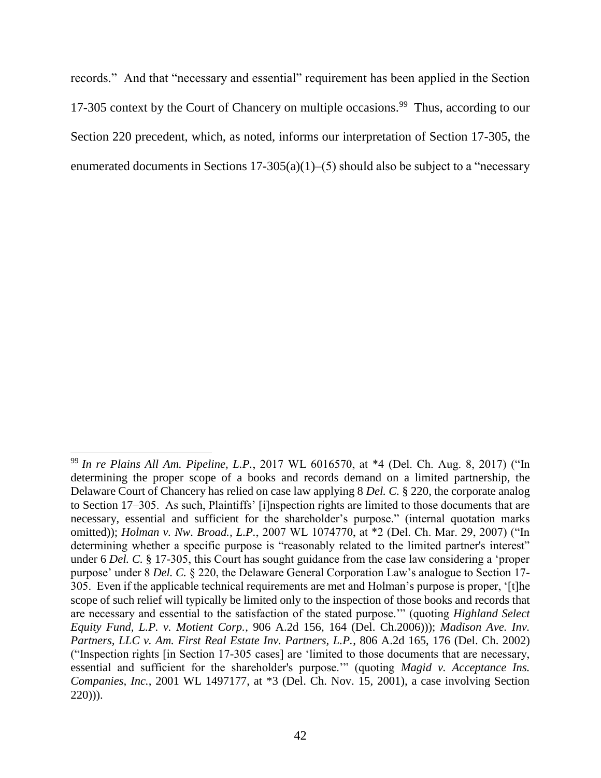records." And that "necessary and essential" requirement has been applied in the Section 17-305 context by the Court of Chancery on multiple occasions.<sup>99</sup> Thus, according to our Section 220 precedent, which, as noted, informs our interpretation of Section 17-305, the enumerated documents in Sections  $17-305(a)(1)$ –(5) should also be subject to a "necessary

<sup>99</sup> *In re Plains All Am. Pipeline, L.P.*, 2017 WL 6016570, at \*4 (Del. Ch. Aug. 8, 2017) ("In determining the proper scope of a books and records demand on a limited partnership, the Delaware Court of Chancery has relied on case law applying 8 *Del. C.* § 220, the corporate analog to Section 17–305. As such, Plaintiffs' [i]nspection rights are limited to those documents that are necessary, essential and sufficient for the shareholder's purpose." (internal quotation marks omitted)); *Holman v. Nw. Broad., L.P.*, 2007 WL 1074770, at \*2 (Del. Ch. Mar. 29, 2007) ("In determining whether a specific purpose is "reasonably related to the limited partner's interest" under 6 *Del. C.* § 17-305, this Court has sought guidance from the case law considering a 'proper purpose' under 8 *Del. C.* § 220, the Delaware General Corporation Law's analogue to Section 17- 305. Even if the applicable technical requirements are met and Holman's purpose is proper, '[t]he scope of such relief will typically be limited only to the inspection of those books and records that are necessary and essential to the satisfaction of the stated purpose.'" (quoting *Highland Select Equity Fund, L.P. v. Motient Corp.*, 906 A.2d 156, 164 (Del. Ch.2006))); *Madison Ave. Inv. Partners, LLC v. Am. First Real Estate Inv. Partners, L.P.*, 806 A.2d 165, 176 (Del. Ch. 2002) ("Inspection rights [in Section 17-305 cases] are 'limited to those documents that are necessary, essential and sufficient for the shareholder's purpose.'" (quoting *Magid v. Acceptance Ins. Companies, Inc.*, 2001 WL 1497177, at \*3 (Del. Ch. Nov. 15, 2001), a case involving Section 220))).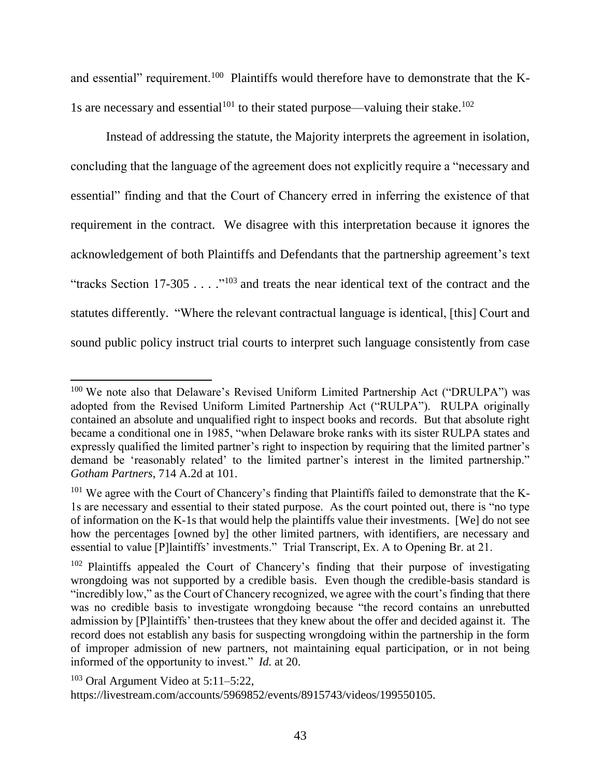and essential" requirement.<sup>100</sup> Plaintiffs would therefore have to demonstrate that the K-1s are necessary and essential<sup>101</sup> to their stated purpose—valuing their stake.<sup>102</sup>

Instead of addressing the statute, the Majority interprets the agreement in isolation, concluding that the language of the agreement does not explicitly require a "necessary and essential" finding and that the Court of Chancery erred in inferring the existence of that requirement in the contract. We disagree with this interpretation because it ignores the acknowledgement of both Plaintiffs and Defendants that the partnership agreement's text "tracks Section 17-305  $\dots$  ."<sup>103</sup> and treats the near identical text of the contract and the statutes differently. "Where the relevant contractual language is identical, [this] Court and sound public policy instruct trial courts to interpret such language consistently from case

 $100$  We note also that Delaware's Revised Uniform Limited Partnership Act ("DRULPA") was adopted from the Revised Uniform Limited Partnership Act ("RULPA"). RULPA originally contained an absolute and unqualified right to inspect books and records. But that absolute right became a conditional one in 1985, "when Delaware broke ranks with its sister RULPA states and expressly qualified the limited partner's right to inspection by requiring that the limited partner's demand be 'reasonably related' to the limited partner's interest in the limited partnership." *Gotham Partners*, 714 A.2d at 101.

 $101$  We agree with the Court of Chancery's finding that Plaintiffs failed to demonstrate that the K-1s are necessary and essential to their stated purpose. As the court pointed out, there is "no type of information on the K-1s that would help the plaintiffs value their investments. [We] do not see how the percentages [owned by] the other limited partners, with identifiers, are necessary and essential to value [P]laintiffs' investments." Trial Transcript, Ex. A to Opening Br. at 21.

<sup>&</sup>lt;sup>102</sup> Plaintiffs appealed the Court of Chancery's finding that their purpose of investigating wrongdoing was not supported by a credible basis. Even though the credible-basis standard is "incredibly low," as the Court of Chancery recognized, we agree with the court's finding that there was no credible basis to investigate wrongdoing because "the record contains an unrebutted admission by [P]laintiffs' then-trustees that they knew about the offer and decided against it. The record does not establish any basis for suspecting wrongdoing within the partnership in the form of improper admission of new partners, not maintaining equal participation, or in not being informed of the opportunity to invest." *Id.* at 20.

 $103$  Oral Argument Video at 5:11–5:22, https://livestream.com/accounts/5969852/events/8915743/videos/199550105.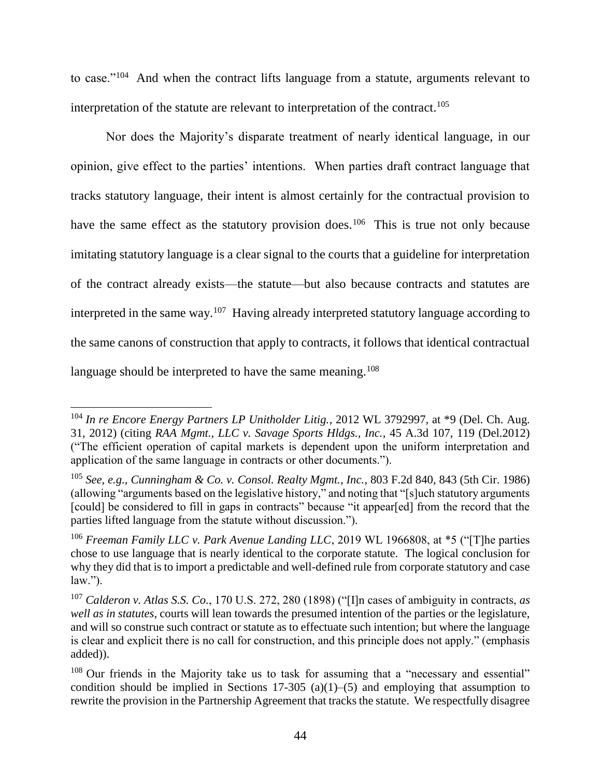to case."<sup>104</sup> And when the contract lifts language from a statute, arguments relevant to interpretation of the statute are relevant to interpretation of the contract.<sup>105</sup>

Nor does the Majority's disparate treatment of nearly identical language, in our opinion, give effect to the parties' intentions. When parties draft contract language that tracks statutory language, their intent is almost certainly for the contractual provision to have the same effect as the statutory provision does.<sup>106</sup> This is true not only because imitating statutory language is a clear signal to the courts that a guideline for interpretation of the contract already exists—the statute—but also because contracts and statutes are interpreted in the same way.<sup>107</sup> Having already interpreted statutory language according to the same canons of construction that apply to contracts, it follows that identical contractual language should be interpreted to have the same meaning.<sup>108</sup>

<sup>104</sup> *In re Encore Energy Partners LP Unitholder Litig.*, 2012 WL 3792997, at \*9 (Del. Ch. Aug. 31, 2012) (citing *RAA Mgmt., LLC v. Savage Sports Hldgs., Inc.*, 45 A.3d 107, 119 (Del.2012) ("The efficient operation of capital markets is dependent upon the uniform interpretation and application of the same language in contracts or other documents.").

<sup>105</sup> *See, e.g.*, *Cunningham & Co. v. Consol. Realty Mgmt., Inc.*, 803 F.2d 840, 843 (5th Cir. 1986) (allowing "arguments based on the legislative history," and noting that "[s]uch statutory arguments [could] be considered to fill in gaps in contracts" because "it appear[ed] from the record that the parties lifted language from the statute without discussion.").

<sup>106</sup> *Freeman Family LLC v. Park Avenue Landing LLC*, 2019 WL 1966808, at \*5 ("[T]he parties chose to use language that is nearly identical to the corporate statute. The logical conclusion for why they did that is to import a predictable and well-defined rule from corporate statutory and case law.").

<sup>107</sup> *Calderon v. Atlas S.S. Co.*, 170 U.S. 272, 280 (1898) ("[I]n cases of ambiguity in contracts, *as well as in statutes*, courts will lean towards the presumed intention of the parties or the legislature, and will so construe such contract or statute as to effectuate such intention; but where the language is clear and explicit there is no call for construction, and this principle does not apply." (emphasis added)).

 $108$  Our friends in the Majority take us to task for assuming that a "necessary and essential" condition should be implied in Sections 17-305 (a)(1)–(5) and employing that assumption to rewrite the provision in the Partnership Agreement that tracks the statute. We respectfully disagree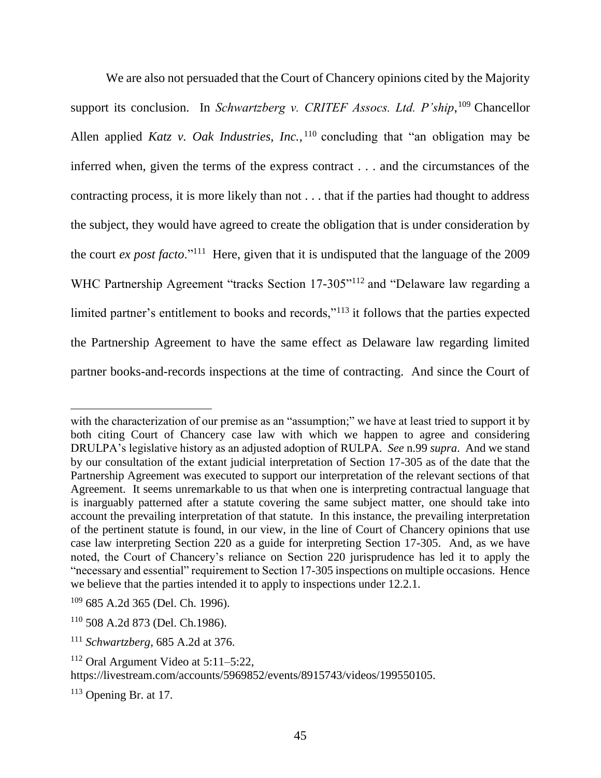We are also not persuaded that the Court of Chancery opinions cited by the Majority support its conclusion. In *Schwartzberg v. CRITEF Assocs. Ltd. P'ship*,<sup>109</sup> Chancellor Allen applied *Katz v. Oak Industries, Inc.*, <sup>110</sup> concluding that "an obligation may be inferred when, given the terms of the express contract . . . and the circumstances of the contracting process, it is more likely than not . . . that if the parties had thought to address the subject, they would have agreed to create the obligation that is under consideration by the court *ex post facto*."<sup>111</sup> Here, given that it is undisputed that the language of the 2009 WHC Partnership Agreement "tracks Section 17-305"<sup>112</sup> and "Delaware law regarding a limited partner's entitlement to books and records,"<sup>113</sup> it follows that the parties expected the Partnership Agreement to have the same effect as Delaware law regarding limited partner books-and-records inspections at the time of contracting. And since the Court of

l

with the characterization of our premise as an "assumption;" we have at least tried to support it by both citing Court of Chancery case law with which we happen to agree and considering DRULPA's legislative history as an adjusted adoption of RULPA. *See* n.99 *supra*. And we stand by our consultation of the extant judicial interpretation of Section 17-305 as of the date that the Partnership Agreement was executed to support our interpretation of the relevant sections of that Agreement. It seems unremarkable to us that when one is interpreting contractual language that is inarguably patterned after a statute covering the same subject matter, one should take into account the prevailing interpretation of that statute. In this instance, the prevailing interpretation of the pertinent statute is found, in our view, in the line of Court of Chancery opinions that use case law interpreting Section 220 as a guide for interpreting Section 17-305. And, as we have noted, the Court of Chancery's reliance on Section 220 jurisprudence has led it to apply the "necessary and essential" requirement to Section 17-305 inspections on multiple occasions. Hence we believe that the parties intended it to apply to inspections under 12.2.1.

<sup>109</sup> 685 A.2d 365 (Del. Ch. 1996).

<sup>110</sup> 508 A.2d 873 (Del. Ch.1986).

<sup>111</sup> *Schwartzberg*, 685 A.2d at 376.

 $112$  Oral Argument Video at  $5:11-5:22$ ,

https://livestream.com/accounts/5969852/events/8915743/videos/199550105.

 $113$  Opening Br. at 17.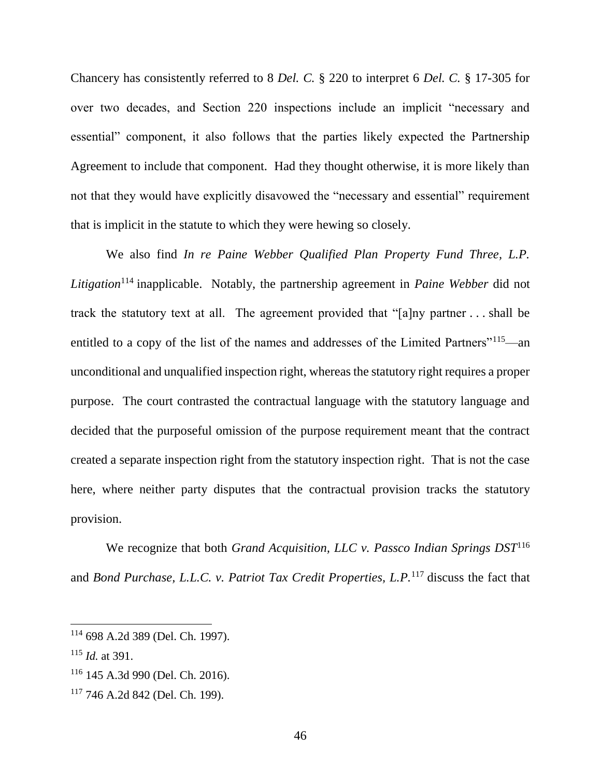Chancery has consistently referred to 8 *Del. C.* § 220 to interpret 6 *Del. C.* § 17-305 for over two decades, and Section 220 inspections include an implicit "necessary and essential" component, it also follows that the parties likely expected the Partnership Agreement to include that component. Had they thought otherwise, it is more likely than not that they would have explicitly disavowed the "necessary and essential" requirement that is implicit in the statute to which they were hewing so closely.

We also find *In re Paine Webber Qualified Plan Property Fund Three, L.P. Litigation*<sup>114</sup> inapplicable. Notably, the partnership agreement in *Paine Webber* did not track the statutory text at all. The agreement provided that "[a]ny partner . . . shall be entitled to a copy of the list of the names and addresses of the Limited Partners"<sup>115</sup>—an unconditional and unqualified inspection right, whereas the statutory right requires a proper purpose. The court contrasted the contractual language with the statutory language and decided that the purposeful omission of the purpose requirement meant that the contract created a separate inspection right from the statutory inspection right. That is not the case here, where neither party disputes that the contractual provision tracks the statutory provision.

We recognize that both *Grand Acquisition, LLC v. Passco Indian Springs DST*<sup>116</sup> and *Bond Purchase, L.L.C. v. Patriot Tax Credit Properties, L.P.*<sup>117</sup> discuss the fact that

l

<sup>114</sup> 698 A.2d 389 (Del. Ch. 1997).

<sup>115</sup> *Id.* at 391.

<sup>116</sup> 145 A.3d 990 (Del. Ch. 2016).

<sup>117</sup> 746 A.2d 842 (Del. Ch. 199).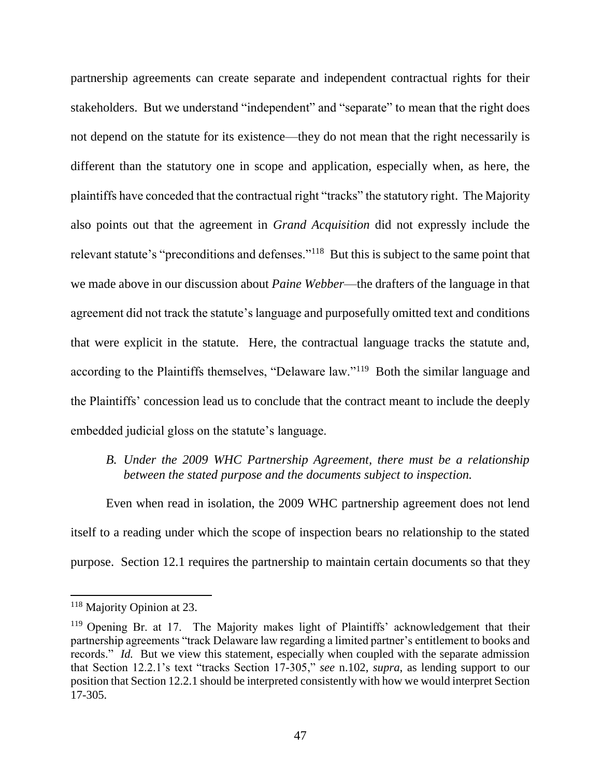partnership agreements can create separate and independent contractual rights for their stakeholders. But we understand "independent" and "separate" to mean that the right does not depend on the statute for its existence—they do not mean that the right necessarily is different than the statutory one in scope and application, especially when, as here, the plaintiffs have conceded that the contractual right "tracks" the statutory right. The Majority also points out that the agreement in *Grand Acquisition* did not expressly include the relevant statute's "preconditions and defenses."<sup>118</sup> But this is subject to the same point that we made above in our discussion about *Paine Webber*—the drafters of the language in that agreement did not track the statute's language and purposefully omitted text and conditions that were explicit in the statute. Here, the contractual language tracks the statute and, according to the Plaintiffs themselves, "Delaware law."<sup>119</sup> Both the similar language and the Plaintiffs' concession lead us to conclude that the contract meant to include the deeply embedded judicial gloss on the statute's language.

*B. Under the 2009 WHC Partnership Agreement, there must be a relationship between the stated purpose and the documents subject to inspection.*

Even when read in isolation, the 2009 WHC partnership agreement does not lend itself to a reading under which the scope of inspection bears no relationship to the stated purpose. Section 12.1 requires the partnership to maintain certain documents so that they

<sup>&</sup>lt;sup>118</sup> Majority Opinion at 23.

<sup>&</sup>lt;sup>119</sup> Opening Br. at 17. The Majority makes light of Plaintiffs' acknowledgement that their partnership agreements "track Delaware law regarding a limited partner's entitlement to books and records." *Id.* But we view this statement, especially when coupled with the separate admission that Section 12.2.1's text "tracks Section 17-305," *see* n.102, *supra*, as lending support to our position that Section 12.2.1 should be interpreted consistently with how we would interpret Section 17-305.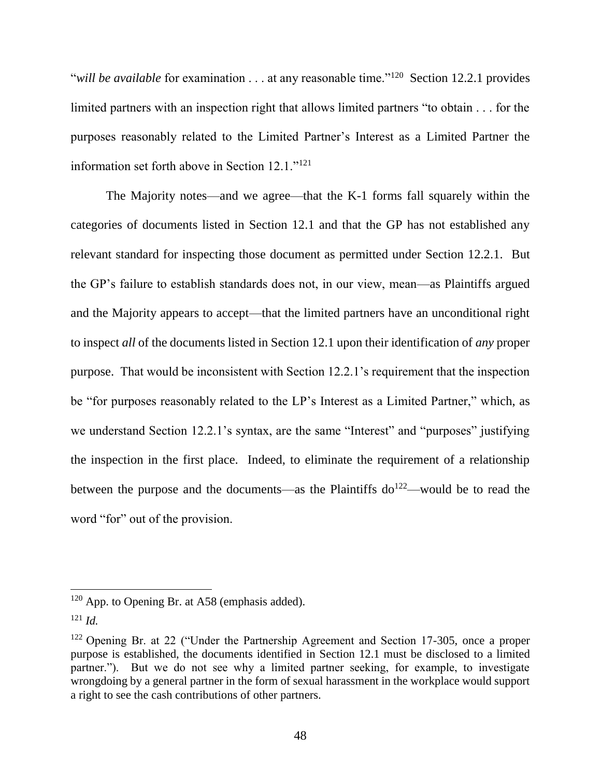"*will be available* for examination . . . at any reasonable time."<sup>120</sup> Section 12.2.1 provides limited partners with an inspection right that allows limited partners "to obtain . . . for the purposes reasonably related to the Limited Partner's Interest as a Limited Partner the information set forth above in Section 12.1."<sup>121</sup>

The Majority notes—and we agree—that the K-1 forms fall squarely within the categories of documents listed in Section 12.1 and that the GP has not established any relevant standard for inspecting those document as permitted under Section 12.2.1. But the GP's failure to establish standards does not, in our view, mean—as Plaintiffs argued and the Majority appears to accept—that the limited partners have an unconditional right to inspect *all* of the documents listed in Section 12.1 upon their identification of *any* proper purpose. That would be inconsistent with Section 12.2.1's requirement that the inspection be "for purposes reasonably related to the LP's Interest as a Limited Partner," which, as we understand Section 12.2.1's syntax, are the same "Interest" and "purposes" justifying the inspection in the first place. Indeed, to eliminate the requirement of a relationship between the purpose and the documents—as the Plaintiffs  $d\rho^{122}$ —would be to read the word "for" out of the provision.

 $120$  App. to Opening Br. at A58 (emphasis added).

 $121$  *Id.* 

<sup>&</sup>lt;sup>122</sup> Opening Br. at 22 ("Under the Partnership Agreement and Section 17-305, once a proper purpose is established, the documents identified in Section 12.1 must be disclosed to a limited partner."). But we do not see why a limited partner seeking, for example, to investigate wrongdoing by a general partner in the form of sexual harassment in the workplace would support a right to see the cash contributions of other partners.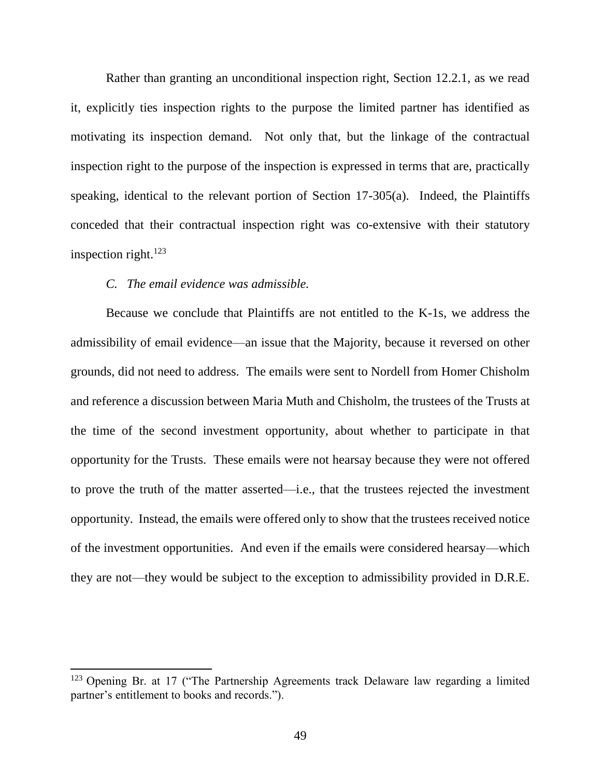Rather than granting an unconditional inspection right, Section 12.2.1, as we read it, explicitly ties inspection rights to the purpose the limited partner has identified as motivating its inspection demand. Not only that, but the linkage of the contractual inspection right to the purpose of the inspection is expressed in terms that are, practically speaking, identical to the relevant portion of Section 17-305(a). Indeed, the Plaintiffs conceded that their contractual inspection right was co-extensive with their statutory inspection right. $123$ 

#### *C. The email evidence was admissible.*

 $\overline{a}$ 

Because we conclude that Plaintiffs are not entitled to the K-1s, we address the admissibility of email evidence—an issue that the Majority, because it reversed on other grounds, did not need to address. The emails were sent to Nordell from Homer Chisholm and reference a discussion between Maria Muth and Chisholm, the trustees of the Trusts at the time of the second investment opportunity, about whether to participate in that opportunity for the Trusts. These emails were not hearsay because they were not offered to prove the truth of the matter asserted—i.e., that the trustees rejected the investment opportunity. Instead, the emails were offered only to show that the trustees received notice of the investment opportunities. And even if the emails were considered hearsay—which they are not—they would be subject to the exception to admissibility provided in D.R.E.

<sup>&</sup>lt;sup>123</sup> Opening Br. at 17 ("The Partnership Agreements track Delaware law regarding a limited partner's entitlement to books and records.").